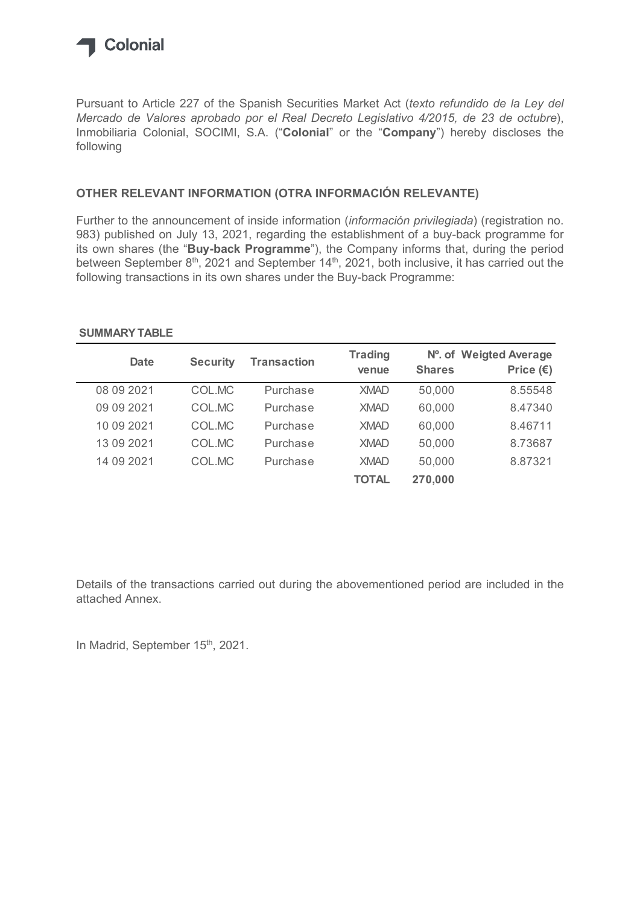

Pursuant to Article 227 of the Spanish Securities Market Act (texto refundido de la Ley del Mercado de Valores aprobado por el Real Decreto Legislativo 4/2015, de 23 de octubre), Inmobiliaria Colonial, SOCIMI, S.A. ("Colonial" or the "Company") hereby discloses the following

## OTHER RELEVANT INFORMATION (OTRA INFORMACIÓN RELEVANTE)

Further to the announcement of inside information (información privilegiada) (registration no. 983) published on July 13, 2021, regarding the establishment of a buy-back programme for its own shares (the "Buy-back Programme"), the Company informs that, during the period between September 8<sup>th</sup>, 2021 and September 14<sup>th</sup>, 2021, both inclusive, it has carried out the following transactions in its own shares under the Buy-back Programme: to Article 227 of the Spanish Securities Market Act (texto refundido de la Ley del<br>
de Valores aprobado por el Real Decreto Legislativo 4/2015, de 23 de octubre),<br>
a Colonial, SOCIMI, S.A. ("Colonial" or the "Company") he

## venue Shares SUMMARY TABLE

| Mercado de Valores aprobado por el Real Decreto Legislativo 4/2015, de 23 de octubre),<br>ollowing |                 | nmobiliaria Colonial, SOCIMI, S.A. ("Colonial" or the "Company") hereby discloses the                                                                                                                                                                                                                                                                                                                                                                                                  |                         |               |                                              |  |
|----------------------------------------------------------------------------------------------------|-----------------|----------------------------------------------------------------------------------------------------------------------------------------------------------------------------------------------------------------------------------------------------------------------------------------------------------------------------------------------------------------------------------------------------------------------------------------------------------------------------------------|-------------------------|---------------|----------------------------------------------|--|
|                                                                                                    |                 | OTHER RELEVANT INFORMATION (OTRA INFORMACIÓN RELEVANTE)                                                                                                                                                                                                                                                                                                                                                                                                                                |                         |               |                                              |  |
|                                                                                                    |                 | Further to the announcement of inside information (información privilegiada) (registration no.<br>983) published on July 13, 2021, regarding the establishment of a buy-back programme for<br>ts own shares (the "Buy-back Programme"), the Company informs that, during the period<br>between September 8 <sup>th</sup> , 2021 and September 14 <sup>th</sup> , 2021, both inclusive, it has carried out the<br>ollowing transactions in its own shares under the Buy-back Programme: |                         |               |                                              |  |
|                                                                                                    |                 |                                                                                                                                                                                                                                                                                                                                                                                                                                                                                        |                         |               |                                              |  |
| <b>SUMMARY TABLE</b><br><b>Date</b>                                                                | <b>Security</b> | <b>Transaction</b>                                                                                                                                                                                                                                                                                                                                                                                                                                                                     | <b>Trading</b><br>venue | <b>Shares</b> | Nº. of Weigted Average<br>Price $(\epsilon)$ |  |
| 08 09 2021                                                                                         | COL.MC          | Purchase                                                                                                                                                                                                                                                                                                                                                                                                                                                                               | <b>XMAD</b>             | 50,000        | 8.55548                                      |  |
| 09 09 2021                                                                                         | COL.MC          | Purchase                                                                                                                                                                                                                                                                                                                                                                                                                                                                               | <b>XMAD</b>             | 60,000        | 8.47340                                      |  |
| 10 09 2021                                                                                         | COL.MC          | Purchase                                                                                                                                                                                                                                                                                                                                                                                                                                                                               | <b>XMAD</b>             | 60,000        | 8.46711                                      |  |
| 13 09 2021                                                                                         | COL.MC          | Purchase                                                                                                                                                                                                                                                                                                                                                                                                                                                                               | <b>XMAD</b>             | 50,000        | 8.73687                                      |  |
| 14 09 2021                                                                                         | COL.MC          | Purchase                                                                                                                                                                                                                                                                                                                                                                                                                                                                               | <b>XMAD</b>             | 50,000        | 8.87321                                      |  |

Details of the transactions carried out during the abovementioned period are included in the attached Annex.

In Madrid, September 15th, 2021.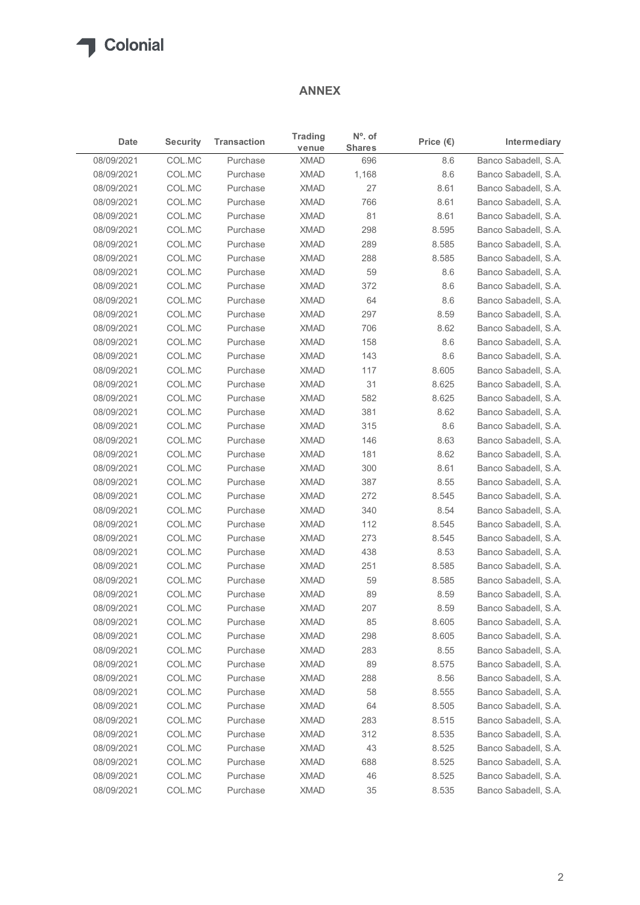

## ANNEX

| Date<br>08/09/2021<br>08/09/2021<br>08/09/2021<br>08/09/2021<br>08/09/2021<br>08/09/2021<br>08/09/2021<br>08/09/2021<br>08/09/2021<br>08/09/2021<br>08/09/2021<br>08/09/2021<br>08/09/2021<br>08/09/2021<br>08/09/2021<br>08/09/2021<br>08/09/2021<br>08/09/2021<br>08/09/2021<br>08/09/2021<br>08/09/2021 | <b>Security</b><br>COL.MC<br>COL.MC<br>COL.MC<br>COL.MC<br>COL.MC<br>COL.MC<br>COL.MC<br>COL.MC<br>COL.MC<br>COL.MC<br>COL.MC<br>COL.MC<br>COL.MC<br>COL.MC<br>COL.MC<br>COL.MC | <b>Transaction</b><br>Purchase<br>Purchase<br>Purchase<br>Purchase<br>Purchase<br>Purchase<br>Purchase<br>Purchase<br>Purchase<br>Purchase<br>Purchase<br>Purchase<br>Purchase<br>Purchase | <b>Trading</b><br>venue<br><b>XMAD</b><br><b>XMAD</b><br><b>XMAD</b><br><b>XMAD</b><br><b>XMAD</b><br><b>XMAD</b><br><b>XMAD</b><br><b>XMAD</b><br><b>XMAD</b><br><b>XMAD</b><br><b>XMAD</b><br><b>XMAD</b> | $No$ . of<br><b>Shares</b><br>696<br>1,168<br>27<br>766<br>81<br>298<br>289<br>288<br>59<br>372 | Price $(\epsilon)$<br>8.6<br>8.6<br>8.61<br>8.61<br>8.61<br>8.595<br>8.585<br>8.585 | Intermediary<br>Banco Sabadell, S.A.<br>Banco Sabadell, S.A.<br>Banco Sabadell, S.A.<br>Banco Sabadell, S.A.<br>Banco Sabadell, S.A.<br>Banco Sabadell, S.A.<br>Banco Sabadell, S.A. |
|------------------------------------------------------------------------------------------------------------------------------------------------------------------------------------------------------------------------------------------------------------------------------------------------------------|---------------------------------------------------------------------------------------------------------------------------------------------------------------------------------|--------------------------------------------------------------------------------------------------------------------------------------------------------------------------------------------|-------------------------------------------------------------------------------------------------------------------------------------------------------------------------------------------------------------|-------------------------------------------------------------------------------------------------|-------------------------------------------------------------------------------------|--------------------------------------------------------------------------------------------------------------------------------------------------------------------------------------|
|                                                                                                                                                                                                                                                                                                            |                                                                                                                                                                                 |                                                                                                                                                                                            |                                                                                                                                                                                                             |                                                                                                 |                                                                                     |                                                                                                                                                                                      |
|                                                                                                                                                                                                                                                                                                            |                                                                                                                                                                                 |                                                                                                                                                                                            |                                                                                                                                                                                                             |                                                                                                 |                                                                                     |                                                                                                                                                                                      |
|                                                                                                                                                                                                                                                                                                            |                                                                                                                                                                                 |                                                                                                                                                                                            |                                                                                                                                                                                                             |                                                                                                 |                                                                                     |                                                                                                                                                                                      |
|                                                                                                                                                                                                                                                                                                            |                                                                                                                                                                                 |                                                                                                                                                                                            |                                                                                                                                                                                                             |                                                                                                 |                                                                                     |                                                                                                                                                                                      |
|                                                                                                                                                                                                                                                                                                            |                                                                                                                                                                                 |                                                                                                                                                                                            |                                                                                                                                                                                                             |                                                                                                 |                                                                                     |                                                                                                                                                                                      |
|                                                                                                                                                                                                                                                                                                            |                                                                                                                                                                                 |                                                                                                                                                                                            |                                                                                                                                                                                                             |                                                                                                 |                                                                                     |                                                                                                                                                                                      |
|                                                                                                                                                                                                                                                                                                            |                                                                                                                                                                                 |                                                                                                                                                                                            |                                                                                                                                                                                                             |                                                                                                 |                                                                                     |                                                                                                                                                                                      |
|                                                                                                                                                                                                                                                                                                            |                                                                                                                                                                                 |                                                                                                                                                                                            |                                                                                                                                                                                                             |                                                                                                 |                                                                                     |                                                                                                                                                                                      |
|                                                                                                                                                                                                                                                                                                            |                                                                                                                                                                                 |                                                                                                                                                                                            |                                                                                                                                                                                                             |                                                                                                 |                                                                                     | Banco Sabadell, S.A.                                                                                                                                                                 |
|                                                                                                                                                                                                                                                                                                            |                                                                                                                                                                                 |                                                                                                                                                                                            |                                                                                                                                                                                                             |                                                                                                 | 8.6                                                                                 | Banco Sabadell, S.A.                                                                                                                                                                 |
|                                                                                                                                                                                                                                                                                                            |                                                                                                                                                                                 |                                                                                                                                                                                            |                                                                                                                                                                                                             |                                                                                                 | 8.6                                                                                 | Banco Sabadell, S.A.                                                                                                                                                                 |
|                                                                                                                                                                                                                                                                                                            |                                                                                                                                                                                 |                                                                                                                                                                                            |                                                                                                                                                                                                             | 64                                                                                              | 8.6                                                                                 | Banco Sabadell, S.A.                                                                                                                                                                 |
|                                                                                                                                                                                                                                                                                                            |                                                                                                                                                                                 |                                                                                                                                                                                            |                                                                                                                                                                                                             | 297                                                                                             | 8.59                                                                                | Banco Sabadell, S.A.                                                                                                                                                                 |
|                                                                                                                                                                                                                                                                                                            |                                                                                                                                                                                 |                                                                                                                                                                                            | <b>XMAD</b>                                                                                                                                                                                                 | 706                                                                                             | 8.62                                                                                | Banco Sabadell, S.A.                                                                                                                                                                 |
|                                                                                                                                                                                                                                                                                                            |                                                                                                                                                                                 |                                                                                                                                                                                            | <b>XMAD</b>                                                                                                                                                                                                 | 158                                                                                             | 8.6                                                                                 | Banco Sabadell, S.A.                                                                                                                                                                 |
|                                                                                                                                                                                                                                                                                                            |                                                                                                                                                                                 | Purchase                                                                                                                                                                                   | <b>XMAD</b>                                                                                                                                                                                                 | 143                                                                                             | 8.6                                                                                 | Banco Sabadell, S.A.                                                                                                                                                                 |
|                                                                                                                                                                                                                                                                                                            |                                                                                                                                                                                 | Purchase                                                                                                                                                                                   | <b>XMAD</b>                                                                                                                                                                                                 | 117                                                                                             | 8.605                                                                               | Banco Sabadell, S.A.                                                                                                                                                                 |
|                                                                                                                                                                                                                                                                                                            | COL.MC                                                                                                                                                                          | Purchase                                                                                                                                                                                   | <b>XMAD</b>                                                                                                                                                                                                 | 31                                                                                              | 8.625                                                                               | Banco Sabadell, S.A.                                                                                                                                                                 |
|                                                                                                                                                                                                                                                                                                            | COL.MC                                                                                                                                                                          | Purchase                                                                                                                                                                                   | <b>XMAD</b>                                                                                                                                                                                                 | 582                                                                                             | 8.625                                                                               | Banco Sabadell, S.A.                                                                                                                                                                 |
|                                                                                                                                                                                                                                                                                                            | COL.MC                                                                                                                                                                          | Purchase                                                                                                                                                                                   | <b>XMAD</b>                                                                                                                                                                                                 | 381                                                                                             | 8.62                                                                                | Banco Sabadell, S.A.                                                                                                                                                                 |
|                                                                                                                                                                                                                                                                                                            | COL.MC                                                                                                                                                                          | Purchase                                                                                                                                                                                   | <b>XMAD</b>                                                                                                                                                                                                 | 315                                                                                             | 8.6                                                                                 | Banco Sabadell, S.A.                                                                                                                                                                 |
|                                                                                                                                                                                                                                                                                                            | COL.MC                                                                                                                                                                          | Purchase                                                                                                                                                                                   | <b>XMAD</b>                                                                                                                                                                                                 | 146                                                                                             | 8.63                                                                                | Banco Sabadell, S.A.                                                                                                                                                                 |
| 08/09/2021                                                                                                                                                                                                                                                                                                 | COL.MC                                                                                                                                                                          | Purchase                                                                                                                                                                                   | <b>XMAD</b>                                                                                                                                                                                                 | 181                                                                                             | 8.62                                                                                | Banco Sabadell, S.A.                                                                                                                                                                 |
| 08/09/2021                                                                                                                                                                                                                                                                                                 | COL.MC                                                                                                                                                                          | Purchase                                                                                                                                                                                   | <b>XMAD</b>                                                                                                                                                                                                 | 300                                                                                             | 8.61                                                                                | Banco Sabadell, S.A.                                                                                                                                                                 |
| 08/09/2021                                                                                                                                                                                                                                                                                                 | COL.MC                                                                                                                                                                          | Purchase                                                                                                                                                                                   | <b>XMAD</b>                                                                                                                                                                                                 | 387                                                                                             | 8.55                                                                                | Banco Sabadell, S.A.                                                                                                                                                                 |
| 08/09/2021                                                                                                                                                                                                                                                                                                 | COL.MC                                                                                                                                                                          | Purchase                                                                                                                                                                                   | <b>XMAD</b>                                                                                                                                                                                                 | 272                                                                                             | 8.545                                                                               | Banco Sabadell, S.A.                                                                                                                                                                 |
| 08/09/2021                                                                                                                                                                                                                                                                                                 | COL.MC                                                                                                                                                                          | Purchase                                                                                                                                                                                   | <b>XMAD</b>                                                                                                                                                                                                 | 340                                                                                             | 8.54                                                                                | Banco Sabadell, S.A.                                                                                                                                                                 |
| 08/09/2021                                                                                                                                                                                                                                                                                                 | COL.MC                                                                                                                                                                          | Purchase                                                                                                                                                                                   | <b>XMAD</b>                                                                                                                                                                                                 | 112                                                                                             | 8.545                                                                               | Banco Sabadell, S.A.                                                                                                                                                                 |
| 08/09/2021                                                                                                                                                                                                                                                                                                 | COL.MC                                                                                                                                                                          | Purchase                                                                                                                                                                                   | <b>XMAD</b>                                                                                                                                                                                                 | 273                                                                                             | 8.545                                                                               | Banco Sabadell, S.A.                                                                                                                                                                 |
| 08/09/2021                                                                                                                                                                                                                                                                                                 | COL.MC                                                                                                                                                                          | Purchase                                                                                                                                                                                   | <b>XMAD</b>                                                                                                                                                                                                 | 438                                                                                             | 8.53                                                                                | Banco Sabadell, S.A.                                                                                                                                                                 |
| 08/09/2021                                                                                                                                                                                                                                                                                                 | COL.MC                                                                                                                                                                          | Purchase                                                                                                                                                                                   | <b>XMAD</b>                                                                                                                                                                                                 | 251                                                                                             | 8.585                                                                               | Banco Sabadell, S.A.                                                                                                                                                                 |
| 08/09/2021                                                                                                                                                                                                                                                                                                 | COL.MC                                                                                                                                                                          | Purchase                                                                                                                                                                                   | <b>XMAD</b>                                                                                                                                                                                                 | 59                                                                                              | 8.585                                                                               | Banco Sabadell, S.A.                                                                                                                                                                 |
| 08/09/2021                                                                                                                                                                                                                                                                                                 | COL.MC                                                                                                                                                                          | Purchase                                                                                                                                                                                   | <b>XMAD</b>                                                                                                                                                                                                 | 89                                                                                              | 8.59                                                                                | Banco Sabadell, S.A.                                                                                                                                                                 |
| 08/09/2021                                                                                                                                                                                                                                                                                                 | COL.MC                                                                                                                                                                          | Purchase                                                                                                                                                                                   | <b>XMAD</b>                                                                                                                                                                                                 | 207                                                                                             | 8.59                                                                                | Banco Sabadell, S.A.                                                                                                                                                                 |
| 08/09/2021                                                                                                                                                                                                                                                                                                 | COL.MC                                                                                                                                                                          | Purchase                                                                                                                                                                                   | <b>XMAD</b>                                                                                                                                                                                                 | 85                                                                                              | 8.605                                                                               | Banco Sabadell, S.A.                                                                                                                                                                 |
| 08/09/2021                                                                                                                                                                                                                                                                                                 | COL.MC                                                                                                                                                                          | Purchase                                                                                                                                                                                   | <b>XMAD</b>                                                                                                                                                                                                 | 298                                                                                             | 8.605                                                                               | Banco Sabadell, S.A.                                                                                                                                                                 |
| 08/09/2021                                                                                                                                                                                                                                                                                                 | COL.MC                                                                                                                                                                          | Purchase                                                                                                                                                                                   | <b>XMAD</b>                                                                                                                                                                                                 | 283                                                                                             | 8.55                                                                                | Banco Sabadell, S.A.                                                                                                                                                                 |
| 08/09/2021                                                                                                                                                                                                                                                                                                 | COL.MC                                                                                                                                                                          | Purchase                                                                                                                                                                                   | <b>XMAD</b>                                                                                                                                                                                                 | 89                                                                                              | 8.575                                                                               | Banco Sabadell, S.A.                                                                                                                                                                 |
| 08/09/2021                                                                                                                                                                                                                                                                                                 | COL.MC                                                                                                                                                                          | Purchase                                                                                                                                                                                   | <b>XMAD</b>                                                                                                                                                                                                 | 288                                                                                             | 8.56                                                                                | Banco Sabadell, S.A.                                                                                                                                                                 |
| 08/09/2021                                                                                                                                                                                                                                                                                                 | COL.MC                                                                                                                                                                          | Purchase                                                                                                                                                                                   | <b>XMAD</b>                                                                                                                                                                                                 | 58                                                                                              | 8.555                                                                               | Banco Sabadell, S.A.                                                                                                                                                                 |
| 08/09/2021                                                                                                                                                                                                                                                                                                 | COL.MC                                                                                                                                                                          | Purchase                                                                                                                                                                                   | <b>XMAD</b>                                                                                                                                                                                                 | 64                                                                                              | 8.505                                                                               | Banco Sabadell, S.A.                                                                                                                                                                 |
| 08/09/2021                                                                                                                                                                                                                                                                                                 | COL.MC                                                                                                                                                                          | Purchase                                                                                                                                                                                   | <b>XMAD</b>                                                                                                                                                                                                 | 283                                                                                             | 8.515                                                                               | Banco Sabadell, S.A.                                                                                                                                                                 |
| 08/09/2021                                                                                                                                                                                                                                                                                                 | COL.MC                                                                                                                                                                          | Purchase                                                                                                                                                                                   | <b>XMAD</b>                                                                                                                                                                                                 | 312                                                                                             | 8.535                                                                               | Banco Sabadell, S.A.                                                                                                                                                                 |
| 08/09/2021                                                                                                                                                                                                                                                                                                 | COL.MC                                                                                                                                                                          | Purchase                                                                                                                                                                                   | <b>XMAD</b>                                                                                                                                                                                                 | 43                                                                                              | 8.525                                                                               | Banco Sabadell, S.A.                                                                                                                                                                 |
| 08/09/2021                                                                                                                                                                                                                                                                                                 | COL.MC                                                                                                                                                                          | Purchase                                                                                                                                                                                   | <b>XMAD</b>                                                                                                                                                                                                 | 688                                                                                             | 8.525                                                                               | Banco Sabadell, S.A.                                                                                                                                                                 |
| 08/09/2021                                                                                                                                                                                                                                                                                                 | COL.MC                                                                                                                                                                          | Purchase                                                                                                                                                                                   | <b>XMAD</b>                                                                                                                                                                                                 | 46                                                                                              | 8.525                                                                               | Banco Sabadell, S.A.                                                                                                                                                                 |
| 08/09/2021                                                                                                                                                                                                                                                                                                 | COL.MC                                                                                                                                                                          | Purchase                                                                                                                                                                                   | <b>XMAD</b>                                                                                                                                                                                                 | $35\,$                                                                                          | 8.535                                                                               | Banco Sabadell, S.A.                                                                                                                                                                 |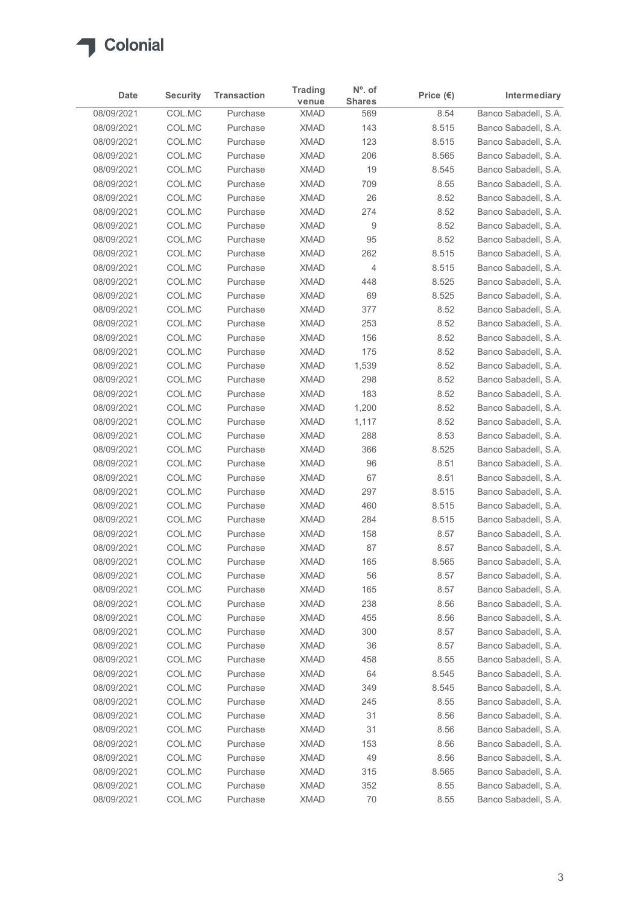

| 08/09/2021<br>08/09/2021<br>08/09/2021<br>08/09/2021<br>08/09/2021<br>08/09/2021<br>08/09/2021<br>08/09/2021<br>08/09/2021 | COL.MC<br>COL.MC<br>COL.MC<br>COL.MC | Purchase             | venue                      | $No$ . of<br><b>Shares</b> | Price $(\epsilon)$ | Intermediary                                 |
|----------------------------------------------------------------------------------------------------------------------------|--------------------------------------|----------------------|----------------------------|----------------------------|--------------------|----------------------------------------------|
|                                                                                                                            |                                      |                      | <b>XMAD</b>                | 569                        | 8.54               | Banco Sabadell, S.A.                         |
|                                                                                                                            |                                      | Purchase             | <b>XMAD</b>                | 143                        | 8.515              | Banco Sabadell, S.A.                         |
|                                                                                                                            |                                      | Purchase             | <b>XMAD</b>                | 123                        | 8.515              | Banco Sabadell, S.A.                         |
|                                                                                                                            |                                      | Purchase             | <b>XMAD</b>                | 206                        | 8.565              | Banco Sabadell, S.A.                         |
|                                                                                                                            | COL.MC                               | Purchase             | <b>XMAD</b>                | 19                         | 8.545              | Banco Sabadell, S.A.                         |
|                                                                                                                            | COL.MC                               | Purchase             | <b>XMAD</b>                | 709                        | 8.55               | Banco Sabadell, S.A.                         |
|                                                                                                                            | COL.MC                               | Purchase             | <b>XMAD</b>                | 26                         | 8.52               | Banco Sabadell, S.A.                         |
|                                                                                                                            | COL.MC                               | Purchase             | <b>XMAD</b>                | 274                        | 8.52               | Banco Sabadell, S.A.                         |
|                                                                                                                            | COL.MC                               | Purchase             | <b>XMAD</b>                | 9                          | 8.52               | Banco Sabadell, S.A.                         |
| 08/09/2021                                                                                                                 | COL.MC                               | Purchase             | <b>XMAD</b>                | 95                         | 8.52               | Banco Sabadell, S.A.                         |
| 08/09/2021                                                                                                                 | COL.MC                               | Purchase             | <b>XMAD</b>                | 262                        | 8.515              | Banco Sabadell, S.A.                         |
| 08/09/2021<br>08/09/2021                                                                                                   | COL.MC<br>COL.MC                     | Purchase<br>Purchase | <b>XMAD</b><br><b>XMAD</b> | 4<br>448                   | 8.515<br>8.525     | Banco Sabadell, S.A.<br>Banco Sabadell, S.A. |
| 08/09/2021                                                                                                                 | COL.MC                               | Purchase             | <b>XMAD</b>                | 69                         | 8.525              | Banco Sabadell, S.A.                         |
| 08/09/2021                                                                                                                 | COL.MC                               | Purchase             | <b>XMAD</b>                | 377                        | 8.52               | Banco Sabadell, S.A.                         |
| 08/09/2021                                                                                                                 | COL.MC                               | Purchase             | <b>XMAD</b>                | 253                        | 8.52               | Banco Sabadell, S.A.                         |
| 08/09/2021                                                                                                                 | COL.MC                               | Purchase             | <b>XMAD</b>                | 156                        | 8.52               | Banco Sabadell, S.A.                         |
| 08/09/2021                                                                                                                 | COL.MC                               | Purchase             | <b>XMAD</b>                | 175                        | 8.52               | Banco Sabadell, S.A.                         |
| 08/09/2021                                                                                                                 | COL.MC                               | Purchase             | <b>XMAD</b>                | 1,539                      | 8.52               | Banco Sabadell, S.A.                         |
| 08/09/2021                                                                                                                 | COL.MC                               | Purchase             | <b>XMAD</b>                | 298                        | 8.52               | Banco Sabadell, S.A.                         |
| 08/09/2021                                                                                                                 | COL.MC                               | Purchase             | <b>XMAD</b>                | 183                        | 8.52               | Banco Sabadell, S.A.                         |
| 08/09/2021                                                                                                                 | COL.MC                               | Purchase             | <b>XMAD</b>                | 1,200                      | 8.52               | Banco Sabadell, S.A.                         |
| 08/09/2021                                                                                                                 | COL.MC                               | Purchase             | <b>XMAD</b>                | 1,117                      | 8.52               | Banco Sabadell, S.A.                         |
| 08/09/2021                                                                                                                 | COL.MC                               | Purchase             | <b>XMAD</b>                | 288                        | 8.53               | Banco Sabadell, S.A.                         |
| 08/09/2021                                                                                                                 | COL.MC                               | Purchase             | <b>XMAD</b>                | 366                        | 8.525              | Banco Sabadell, S.A.                         |
| 08/09/2021                                                                                                                 | COL.MC                               | Purchase             | <b>XMAD</b>                | 96                         | 8.51               | Banco Sabadell, S.A.                         |
| 08/09/2021                                                                                                                 | COL.MC                               | Purchase             | <b>XMAD</b>                | 67                         | 8.51               | Banco Sabadell, S.A.                         |
| 08/09/2021                                                                                                                 | COL.MC                               | Purchase             | <b>XMAD</b>                | 297                        | 8.515              | Banco Sabadell, S.A.                         |
| 08/09/2021                                                                                                                 | COL.MC                               | Purchase             | <b>XMAD</b>                | 460                        | 8.515              | Banco Sabadell, S.A.                         |
| 08/09/2021                                                                                                                 | COL.MC                               | Purchase             | <b>XMAD</b>                | 284                        | 8.515              | Banco Sabadell, S.A.                         |
| 08/09/2021                                                                                                                 | COL.MC                               | Purchase             | <b>XMAD</b>                | 158                        | 8.57               | Banco Sabadell, S.A.                         |
| 08/09/2021                                                                                                                 | COL.MC                               | Purchase             | <b>XMAD</b>                | 87                         | 8.57               | Banco Sabadell, S.A.                         |
| 08/09/2021                                                                                                                 | COL.MC                               | Purchase             | <b>XMAD</b>                | 165                        | 8.565              | Banco Sabadell, S.A.                         |
| 08/09/2021                                                                                                                 | COL.MC                               | Purchase             | <b>XMAD</b>                | 56                         | 8.57               | Banco Sabadell, S.A.                         |
| 08/09/2021                                                                                                                 | COL.MC                               | Purchase             | <b>XMAD</b>                | 165                        | 8.57               | Banco Sabadell, S.A.                         |
| 08/09/2021                                                                                                                 | COL.MC                               | Purchase             | <b>XMAD</b>                | 238                        | 8.56               | Banco Sabadell, S.A.                         |
| 08/09/2021                                                                                                                 | COL.MC                               | Purchase             | <b>XMAD</b>                | 455                        | 8.56               | Banco Sabadell, S.A.                         |
| 08/09/2021                                                                                                                 | COL.MC                               | Purchase             | <b>XMAD</b>                | 300                        | 8.57               | Banco Sabadell, S.A.                         |
| 08/09/2021                                                                                                                 | COL.MC                               | Purchase             | <b>XMAD</b>                | 36                         | 8.57               | Banco Sabadell, S.A.                         |
| 08/09/2021                                                                                                                 | COL.MC                               | Purchase             | <b>XMAD</b>                | 458                        | 8.55               | Banco Sabadell, S.A.                         |
| 08/09/2021                                                                                                                 | COL.MC                               | Purchase             | <b>XMAD</b>                | 64                         | 8.545              | Banco Sabadell, S.A.                         |
| 08/09/2021                                                                                                                 | COL.MC                               | Purchase             | <b>XMAD</b>                | 349                        | 8.545              | Banco Sabadell, S.A.                         |
| 08/09/2021<br>08/09/2021                                                                                                   | COL.MC                               | Purchase             | <b>XMAD</b><br><b>XMAD</b> | 245<br>31                  | 8.55               | Banco Sabadell, S.A.                         |
| 08/09/2021                                                                                                                 | COL.MC<br>COL.MC                     | Purchase<br>Purchase | <b>XMAD</b>                | 31                         | 8.56<br>8.56       | Banco Sabadell, S.A.<br>Banco Sabadell, S.A. |
| 08/09/2021                                                                                                                 | COL.MC                               | Purchase             | <b>XMAD</b>                | 153                        | 8.56               | Banco Sabadell, S.A.                         |
| 08/09/2021                                                                                                                 | COL.MC                               | Purchase             | <b>XMAD</b>                | 49                         | 8.56               | Banco Sabadell, S.A.                         |
| 08/09/2021                                                                                                                 | COL.MC                               | Purchase             | <b>XMAD</b>                | 315                        | 8.565              | Banco Sabadell, S.A.                         |
| 08/09/2021                                                                                                                 | COLMC                                | Purchase             | <b>XMAD</b>                | 352                        | 8.55               | Banco Sabadell, S.A.                         |
| 08/09/2021                                                                                                                 | COLMC                                | Purchase             | <b>XMAD</b>                | 70                         | 8.55               | Banco Sabadell, S.A.                         |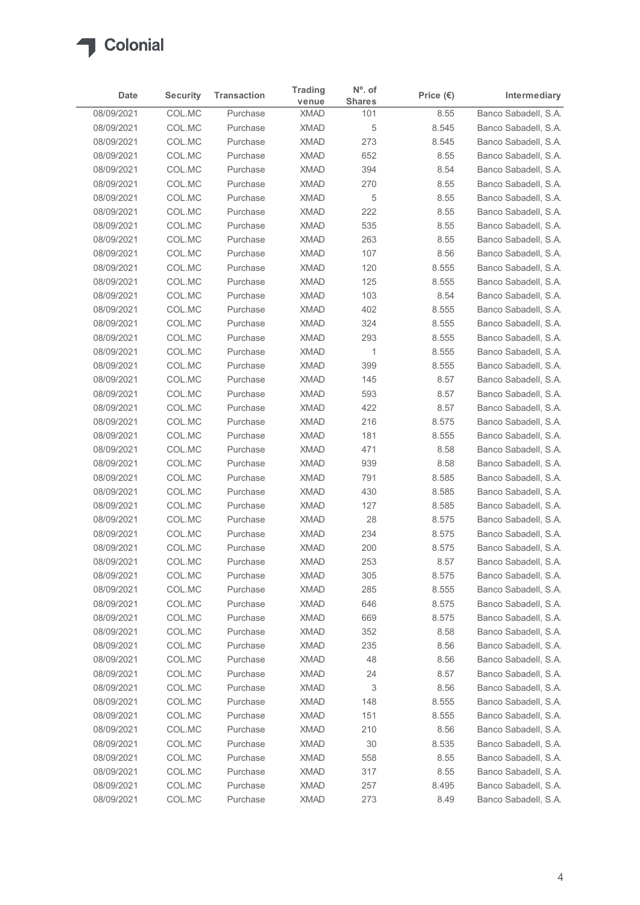

|                          |                           | <b>Transaction</b>   | <b>Trading</b>             | $N^{\circ}$ . of     |                            | Intermediary                                 |
|--------------------------|---------------------------|----------------------|----------------------------|----------------------|----------------------------|----------------------------------------------|
| Date<br>08/09/2021       | <b>Security</b><br>COL.MC | Purchase             | venue<br><b>XMAD</b>       | <b>Shares</b><br>101 | Price $(\epsilon)$<br>8.55 | Banco Sabadell, S.A.                         |
| 08/09/2021               | COL.MC                    | Purchase             | <b>XMAD</b>                | 5                    | 8.545                      | Banco Sabadell, S.A.                         |
| 08/09/2021               | COL.MC                    | Purchase             | <b>XMAD</b>                | 273                  | 8.545                      | Banco Sabadell, S.A.                         |
| 08/09/2021               | COL.MC                    | Purchase             | <b>XMAD</b>                | 652                  | 8.55                       | Banco Sabadell, S.A.                         |
| 08/09/2021               | COL.MC                    | Purchase             | <b>XMAD</b>                | 394                  | 8.54                       | Banco Sabadell, S.A.                         |
| 08/09/2021               | COL.MC                    | Purchase             | <b>XMAD</b>                | 270                  | 8.55                       | Banco Sabadell, S.A.                         |
| 08/09/2021<br>08/09/2021 | COL.MC<br>COL.MC          | Purchase<br>Purchase | <b>XMAD</b><br><b>XMAD</b> | 5<br>222             | 8.55<br>8.55               | Banco Sabadell, S.A.<br>Banco Sabadell, S.A. |
| 08/09/2021               | COL.MC                    | Purchase             | <b>XMAD</b>                | 535                  | 8.55                       | Banco Sabadell, S.A.                         |
| 08/09/2021               | COL.MC                    | Purchase             | <b>XMAD</b>                | 263                  | 8.55                       | Banco Sabadell, S.A.                         |
| 08/09/2021               | COL.MC                    | Purchase             | <b>XMAD</b>                | 107                  | 8.56                       | Banco Sabadell, S.A.                         |
| 08/09/2021               | COL.MC                    | Purchase             | <b>XMAD</b>                | 120                  | 8.555                      | Banco Sabadell, S.A.                         |
| 08/09/2021               | COL.MC                    | Purchase             | <b>XMAD</b>                | 125                  | 8.555                      | Banco Sabadell, S.A.                         |
| 08/09/2021               | COL.MC                    | Purchase             | <b>XMAD</b>                | 103                  | 8.54                       | Banco Sabadell, S.A.                         |
| 08/09/2021               | COL.MC                    | Purchase             | <b>XMAD</b>                | 402                  | 8.555                      | Banco Sabadell, S.A.                         |
| 08/09/2021<br>08/09/2021 | COL.MC<br>COL.MC          | Purchase<br>Purchase | <b>XMAD</b><br><b>XMAD</b> | 324<br>293           | 8.555<br>8.555             | Banco Sabadell, S.A.<br>Banco Sabadell, S.A. |
| 08/09/2021               | COL.MC                    | Purchase             | <b>XMAD</b>                | $\mathbf{1}$         | 8.555                      | Banco Sabadell, S.A.                         |
| 08/09/2021               | COL.MC                    | Purchase             | <b>XMAD</b>                | 399                  | 8.555                      | Banco Sabadell, S.A.                         |
| 08/09/2021               | COL.MC                    | Purchase             | <b>XMAD</b>                | 145                  | 8.57                       | Banco Sabadell, S.A.                         |
| 08/09/2021               | COL.MC                    | Purchase             | <b>XMAD</b>                | 593                  | 8.57                       | Banco Sabadell, S.A.                         |
| 08/09/2021               | COL.MC                    | Purchase             | <b>XMAD</b>                | 422                  | 8.57                       | Banco Sabadell, S.A.                         |
| 08/09/2021               | COL.MC                    | Purchase             | <b>XMAD</b>                | 216                  | 8.575                      | Banco Sabadell, S.A.                         |
| 08/09/2021<br>08/09/2021 | COL.MC<br>COL.MC          | Purchase<br>Purchase | <b>XMAD</b><br><b>XMAD</b> | 181<br>471           | 8.555<br>8.58              | Banco Sabadell, S.A.<br>Banco Sabadell, S.A. |
| 08/09/2021               | COL.MC                    | Purchase             | <b>XMAD</b>                | 939                  | 8.58                       | Banco Sabadell, S.A.                         |
| 08/09/2021               | COL.MC                    | Purchase             | <b>XMAD</b>                | 791                  | 8.585                      | Banco Sabadell, S.A.                         |
| 08/09/2021               | COL.MC                    | Purchase             | <b>XMAD</b>                | 430                  | 8.585                      | Banco Sabadell, S.A.                         |
| 08/09/2021               | COL.MC                    | Purchase             | <b>XMAD</b>                | 127                  | 8.585                      | Banco Sabadell, S.A.                         |
| 08/09/2021               | COL.MC                    | Purchase             | <b>XMAD</b>                | 28                   | 8.575                      | Banco Sabadell, S.A.                         |
| 08/09/2021               | COL.MC                    | Purchase             | <b>XMAD</b>                | 234                  | 8.575                      | Banco Sabadell, S.A.                         |
| 08/09/2021               | COL.MC                    | Purchase             | <b>XMAD</b>                | 200                  | 8.575                      | Banco Sabadell, S.A.                         |
| 08/09/2021               | COL.MC                    | Purchase             | <b>XMAD</b>                | 253                  | 8.57                       | Banco Sabadell, S.A.                         |
| 08/09/2021<br>08/09/2021 | COL.MC<br>COL.MC          | Purchase<br>Purchase | <b>XMAD</b><br><b>XMAD</b> | 305<br>285           | 8.575<br>8.555             | Banco Sabadell, S.A.<br>Banco Sabadell, S.A. |
| 08/09/2021               | COL.MC                    | Purchase             | <b>XMAD</b>                | 646                  | 8.575                      | Banco Sabadell, S.A.                         |
| 08/09/2021               | COL.MC                    | Purchase             | <b>XMAD</b>                | 669                  | 8.575                      | Banco Sabadell, S.A.                         |
| 08/09/2021               | COL.MC                    | Purchase             | <b>XMAD</b>                | 352                  | 8.58                       | Banco Sabadell, S.A.                         |
| 08/09/2021               | COL.MC                    | Purchase             | <b>XMAD</b>                | 235                  | 8.56                       | Banco Sabadell, S.A.                         |
| 08/09/2021               | COL.MC                    | Purchase             | <b>XMAD</b>                | 48                   | 8.56                       | Banco Sabadell, S.A.                         |
| 08/09/2021               | COL.MC                    | Purchase             | <b>XMAD</b>                | 24                   | 8.57                       | Banco Sabadell, S.A.                         |
| 08/09/2021               | COL.MC                    | Purchase             | <b>XMAD</b>                | 3                    | 8.56                       | Banco Sabadell, S.A.                         |
| 08/09/2021               | COL.MC                    | Purchase             | <b>XMAD</b>                | 148                  | 8.555                      | Banco Sabadell, S.A.                         |
| 08/09/2021               | COL.MC                    | Purchase<br>Purchase | <b>XMAD</b>                | 151                  | 8.555<br>8.56              | Banco Sabadell, S.A.                         |
| 08/09/2021<br>08/09/2021 | COL.MC<br>COL.MC          | Purchase             | <b>XMAD</b><br><b>XMAD</b> | 210<br>30            | 8.535                      | Banco Sabadell, S.A.<br>Banco Sabadell, S.A. |
| 08/09/2021               | COL.MC                    | Purchase             | <b>XMAD</b>                | 558                  | 8.55                       | Banco Sabadell, S.A.                         |
| 08/09/2021               | COL.MC                    | Purchase             | <b>XMAD</b>                | 317                  | 8.55                       | Banco Sabadell, S.A.                         |
| 08/09/2021               | COL.MC                    | Purchase             | <b>XMAD</b>                | 257                  | 8.495                      | Banco Sabadell, S.A.                         |
|                          | COL.MC                    | Purchase             | <b>XMAD</b>                | 273                  | 8.49                       | Banco Sabadell, S.A.                         |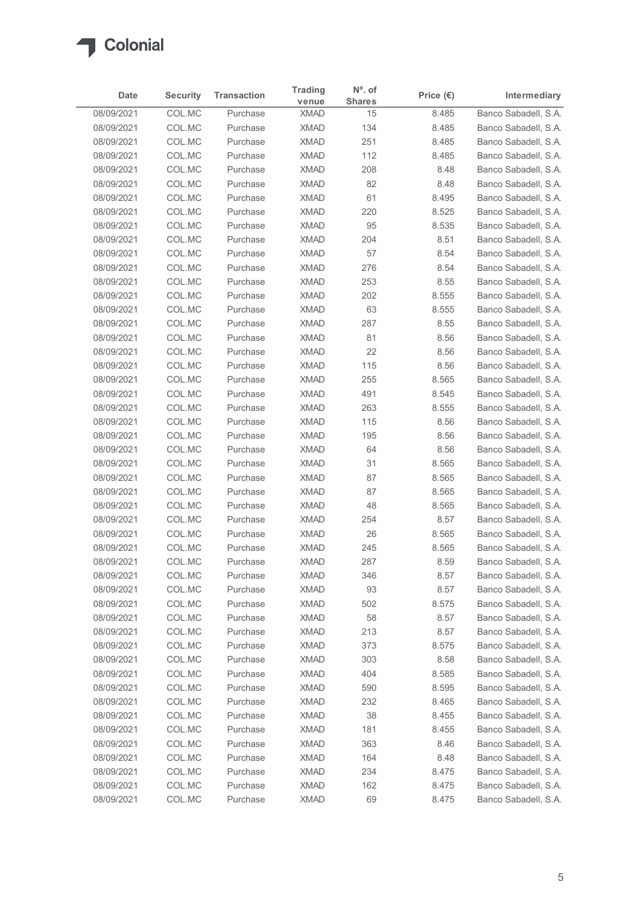

| Date                     | <b>Security</b>  | <b>Transaction</b>   | <b>Trading</b>             | $No$ . of           | Price $(\epsilon)$ | Intermediary                                 |
|--------------------------|------------------|----------------------|----------------------------|---------------------|--------------------|----------------------------------------------|
| 08/09/2021               | COL.MC           | Purchase             | venue<br><b>XMAD</b>       | <b>Shares</b><br>15 | 8.485              | Banco Sabadell, S.A.                         |
| 08/09/2021               | COL.MC           | Purchase             | <b>XMAD</b>                | 134                 | 8.485              | Banco Sabadell, S.A.                         |
| 08/09/2021               | COL.MC           | Purchase             | <b>XMAD</b>                | 251                 | 8.485              | Banco Sabadell, S.A.                         |
| 08/09/2021               | COL.MC           | Purchase             | <b>XMAD</b>                | 112                 | 8.485              | Banco Sabadell, S.A.                         |
| 08/09/2021               | COL.MC           | Purchase             | <b>XMAD</b>                | 208                 | 8.48               | Banco Sabadell, S.A.                         |
| 08/09/2021               | COL.MC           | Purchase             | <b>XMAD</b>                | 82                  | 8.48               | Banco Sabadell, S.A.                         |
| 08/09/2021               | COL.MC           | Purchase             | <b>XMAD</b>                | 61                  | 8.495              | Banco Sabadell, S.A.                         |
| 08/09/2021<br>08/09/2021 | COL.MC           | Purchase             | <b>XMAD</b><br><b>XMAD</b> | 220<br>95           | 8.525              | Banco Sabadell, S.A.                         |
| 08/09/2021               | COL.MC<br>COL.MC | Purchase<br>Purchase | <b>XMAD</b>                | 204                 | 8.535<br>8.51      | Banco Sabadell, S.A.<br>Banco Sabadell, S.A. |
| 08/09/2021               | COL.MC           | Purchase             | <b>XMAD</b>                | 57                  | 8.54               | Banco Sabadell, S.A.                         |
| 08/09/2021               | COL.MC           | Purchase             | <b>XMAD</b>                | 276                 | 8.54               | Banco Sabadell, S.A.                         |
| 08/09/2021               | COL.MC           | Purchase             | <b>XMAD</b>                | 253                 | 8.55               | Banco Sabadell, S.A.                         |
| 08/09/2021               | COL.MC           | Purchase             | <b>XMAD</b>                | 202                 | 8.555              | Banco Sabadell, S.A.                         |
| 08/09/2021               | COL.MC           | Purchase             | <b>XMAD</b>                | 63                  | 8.555              | Banco Sabadell, S.A.                         |
| 08/09/2021               | COL.MC           | Purchase             | <b>XMAD</b>                | 287                 | 8.55               | Banco Sabadell, S.A.                         |
| 08/09/2021               | COL.MC           | Purchase             | <b>XMAD</b>                | 81                  | 8.56               | Banco Sabadell, S.A.                         |
| 08/09/2021               | COL.MC           | Purchase             | <b>XMAD</b>                | 22                  | 8.56               | Banco Sabadell, S.A.                         |
| 08/09/2021<br>08/09/2021 | COL.MC           | Purchase<br>Purchase | <b>XMAD</b><br><b>XMAD</b> | 115                 | 8.56               | Banco Sabadell, S.A.                         |
| 08/09/2021               | COL.MC<br>COL.MC | Purchase             | <b>XMAD</b>                | 255<br>491          | 8.565<br>8.545     | Banco Sabadell, S.A.<br>Banco Sabadell, S.A. |
| 08/09/2021               | COL.MC           | Purchase             | <b>XMAD</b>                | 263                 | 8.555              | Banco Sabadell, S.A.                         |
| 08/09/2021               | COL.MC           | Purchase             | <b>XMAD</b>                | 115                 | 8.56               | Banco Sabadell, S.A.                         |
| 08/09/2021               | COL.MC           | Purchase             | <b>XMAD</b>                | 195                 | 8.56               | Banco Sabadell, S.A.                         |
| 08/09/2021               | COL.MC           | Purchase             | <b>XMAD</b>                | 64                  | 8.56               | Banco Sabadell, S.A.                         |
| 08/09/2021               | COL.MC           | Purchase             | <b>XMAD</b>                | 31                  | 8.565              | Banco Sabadell, S.A.                         |
| 08/09/2021               | COL.MC           | Purchase             | <b>XMAD</b>                | 87                  | 8.565              | Banco Sabadell, S.A.                         |
| 08/09/2021               | COL.MC           | Purchase             | <b>XMAD</b>                | 87                  | 8.565              | Banco Sabadell, S.A.                         |
| 08/09/2021               | COL.MC           | Purchase             | <b>XMAD</b>                | 48                  | 8.565              | Banco Sabadell, S.A.                         |
| 08/09/2021               | COL.MC           | Purchase             | <b>XMAD</b>                | 254                 | 8.57               | Banco Sabadell, S.A.                         |
| 08/09/2021<br>08/09/2021 | COL.MC<br>COL.MC | Purchase<br>Purchase | <b>XMAD</b><br><b>XMAD</b> | 26<br>245           | 8.565<br>8.565     | Banco Sabadell, S.A.<br>Banco Sabadell, S.A. |
| 08/09/2021               | COL.MC           | Purchase             | <b>XMAD</b>                | 287                 | 8.59               | Banco Sabadell, S.A.                         |
| 08/09/2021               | COL.MC           | Purchase             | <b>XMAD</b>                | 346                 | 8.57               | Banco Sabadell, S.A.                         |
| 08/09/2021               | COL.MC           | Purchase             | <b>XMAD</b>                | 93                  | 8.57               | Banco Sabadell, S.A.                         |
| 08/09/2021               | COL.MC           | Purchase             | <b>XMAD</b>                | 502                 | 8.575              | Banco Sabadell, S.A.                         |
| 08/09/2021               | COL.MC           | Purchase             | <b>XMAD</b>                | 58                  | 8.57               | Banco Sabadell, S.A.                         |
| 08/09/2021               | COL.MC           | Purchase             | <b>XMAD</b>                | 213                 | 8.57               | Banco Sabadell, S.A.                         |
| 08/09/2021               | COL.MC           | Purchase             | <b>XMAD</b>                | 373                 | 8.575              | Banco Sabadell, S.A.                         |
| 08/09/2021               | COL.MC           | Purchase             | <b>XMAD</b>                | 303                 | 8.58               | Banco Sabadell, S.A.                         |
| 08/09/2021               | COL.MC           | Purchase             | <b>XMAD</b>                | 404                 | 8.585              | Banco Sabadell, S.A.                         |
| 08/09/2021               | COL.MC           | Purchase             | <b>XMAD</b>                | 590                 | 8.595              | Banco Sabadell, S.A.                         |
| 08/09/2021               | COL.MC           | Purchase             | <b>XMAD</b>                | 232                 | 8.465              | Banco Sabadell, S.A.                         |
| 08/09/2021<br>08/09/2021 | COL.MC<br>COL.MC | Purchase<br>Purchase | <b>XMAD</b><br><b>XMAD</b> | 38<br>181           | 8.455<br>8.455     | Banco Sabadell, S.A.<br>Banco Sabadell, S.A. |
| 08/09/2021               | COL.MC           | Purchase             | <b>XMAD</b>                | 363                 | 8.46               | Banco Sabadell, S.A.                         |
| 08/09/2021               | COL.MC           | Purchase             | <b>XMAD</b>                | 164                 | 8.48               | Banco Sabadell, S.A.                         |
| 08/09/2021               | COL.MC           | Purchase             | <b>XMAD</b>                | 234                 | 8.475              | Banco Sabadell, S.A.                         |
| 08/09/2021               | COLMC            | Purchase             | <b>XMAD</b>                | 162                 | 8.475              | Banco Sabadell, S.A.                         |
|                          | COLMC            | Purchase             | <b>XMAD</b>                | 69                  | 8.475              | Banco Sabadell, S.A.                         |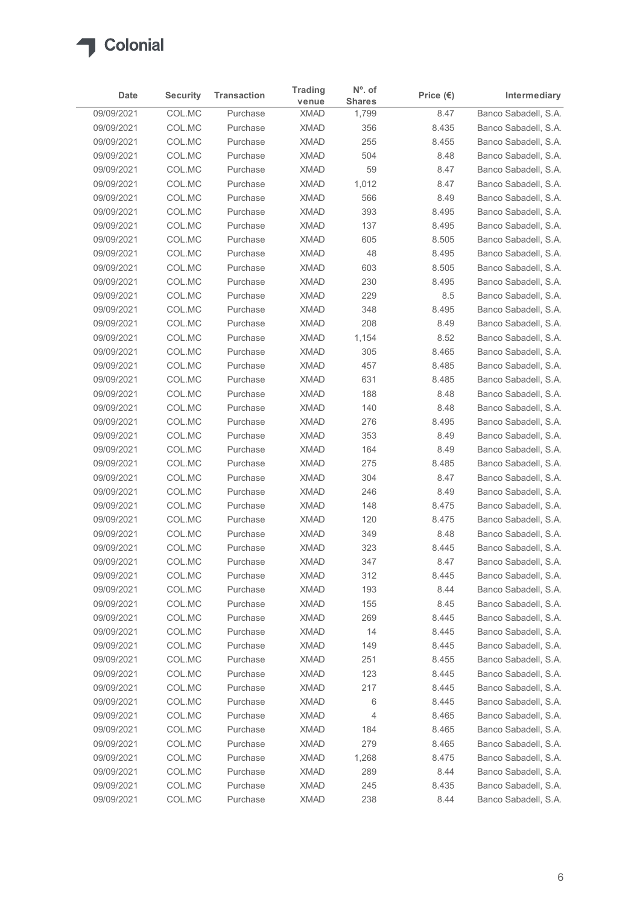

| Date                     | <b>Security</b>  | <b>Transaction</b>   | <b>Trading</b>             | $N^{\circ}$ . of       | Price $(\epsilon)$ | Intermediary                                 |
|--------------------------|------------------|----------------------|----------------------------|------------------------|--------------------|----------------------------------------------|
| 09/09/2021               | COL.MC           | Purchase             | venue<br><b>XMAD</b>       | <b>Shares</b><br>1,799 | 8.47               | Banco Sabadell, S.A.                         |
| 09/09/2021               | COL.MC           | Purchase             | <b>XMAD</b>                | 356                    | 8.435              | Banco Sabadell, S.A.                         |
| 09/09/2021               | COL.MC           | Purchase             | <b>XMAD</b>                | 255                    | 8.455              | Banco Sabadell, S.A.                         |
| 09/09/2021               | COL.MC           | Purchase             | <b>XMAD</b>                | 504                    | 8.48               | Banco Sabadell, S.A.                         |
| 09/09/2021               | COL.MC           | Purchase             | <b>XMAD</b>                | 59                     | 8.47               | Banco Sabadell, S.A.                         |
| 09/09/2021<br>09/09/2021 | COL.MC<br>COL.MC | Purchase<br>Purchase | <b>XMAD</b><br><b>XMAD</b> | 1,012<br>566           | 8.47<br>8.49       | Banco Sabadell, S.A.<br>Banco Sabadell, S.A. |
| 09/09/2021               | COL.MC           | Purchase             | <b>XMAD</b>                | 393                    | 8.495              | Banco Sabadell, S.A.                         |
| 09/09/2021               | COL.MC           | Purchase             | <b>XMAD</b>                | 137                    | 8.495              | Banco Sabadell, S.A.                         |
| 09/09/2021               | COL.MC           | Purchase             | <b>XMAD</b>                | 605                    | 8.505              | Banco Sabadell, S.A.                         |
| 09/09/2021               | COL.MC           | Purchase             | <b>XMAD</b>                | 48                     | 8.495              | Banco Sabadell, S.A.                         |
| 09/09/2021               | COL.MC           | Purchase             | <b>XMAD</b>                | 603                    | 8.505              | Banco Sabadell, S.A.                         |
| 09/09/2021               | COL.MC           | Purchase             | <b>XMAD</b>                | 230                    | 8.495              | Banco Sabadell, S.A.                         |
| 09/09/2021<br>09/09/2021 | COL.MC<br>COL.MC | Purchase<br>Purchase | <b>XMAD</b><br><b>XMAD</b> | 229<br>348             | 8.5<br>8.495       | Banco Sabadell, S.A.<br>Banco Sabadell, S.A. |
| 09/09/2021               | COL.MC           | Purchase             | <b>XMAD</b>                | 208                    | 8.49               | Banco Sabadell, S.A.                         |
| 09/09/2021               | COL.MC           | Purchase             | <b>XMAD</b>                | 1,154                  | 8.52               | Banco Sabadell, S.A.                         |
| 09/09/2021               | COL.MC           | Purchase             | <b>XMAD</b>                | 305                    | 8.465              | Banco Sabadell, S.A.                         |
| 09/09/2021               | COL.MC           | Purchase             | <b>XMAD</b>                | 457                    | 8.485              | Banco Sabadell, S.A.                         |
| 09/09/2021               | COL.MC           | Purchase             | <b>XMAD</b>                | 631                    | 8.485              | Banco Sabadell, S.A.                         |
| 09/09/2021               | COL.MC           | Purchase             | <b>XMAD</b>                | 188                    | 8.48               | Banco Sabadell, S.A.                         |
| 09/09/2021               | COL.MC           | Purchase             | <b>XMAD</b>                | 140                    | 8.48               | Banco Sabadell, S.A.                         |
| 09/09/2021<br>09/09/2021 | COL.MC<br>COL.MC | Purchase<br>Purchase | <b>XMAD</b><br><b>XMAD</b> | 276<br>353             | 8.495<br>8.49      | Banco Sabadell, S.A.<br>Banco Sabadell, S.A. |
| 09/09/2021               | COL.MC           | Purchase             | <b>XMAD</b>                | 164                    | 8.49               | Banco Sabadell, S.A.                         |
| 09/09/2021               | COL.MC           | Purchase             | <b>XMAD</b>                | 275                    | 8.485              | Banco Sabadell, S.A.                         |
| 09/09/2021               | COL.MC           | Purchase             | <b>XMAD</b>                | 304                    | 8.47               | Banco Sabadell, S.A.                         |
| 09/09/2021               | COL.MC           | Purchase             | <b>XMAD</b>                | 246                    | 8.49               | Banco Sabadell, S.A.                         |
| 09/09/2021               | COL.MC           | Purchase             | <b>XMAD</b>                | 148                    | 8.475              | Banco Sabadell, S.A.                         |
| 09/09/2021               | COL.MC           | Purchase             | <b>XMAD</b>                | 120                    | 8.475              | Banco Sabadell, S.A.                         |
| 09/09/2021               | COL.MC           | Purchase             | <b>XMAD</b>                | 349                    | 8.48               | Banco Sabadell, S.A.                         |
| 09/09/2021<br>09/09/2021 | COL.MC<br>COL.MC | Purchase<br>Purchase | <b>XMAD</b><br><b>XMAD</b> | 323<br>347             | 8.445<br>8.47      | Banco Sabadell, S.A.<br>Banco Sabadell, S.A. |
| 09/09/2021               | COL.MC           | Purchase             | <b>XMAD</b>                | 312                    | 8.445              | Banco Sabadell, S.A.                         |
| 09/09/2021               | COL.MC           | Purchase             | <b>XMAD</b>                | 193                    | 8.44               | Banco Sabadell, S.A.                         |
| 09/09/2021               | COL.MC           | Purchase             | <b>XMAD</b>                | 155                    | 8.45               | Banco Sabadell, S.A.                         |
| 09/09/2021               | COL.MC           | Purchase             | <b>XMAD</b>                | 269                    | 8.445              | Banco Sabadell, S.A.                         |
| 09/09/2021               | COL.MC           | Purchase             | <b>XMAD</b>                | 14                     | 8.445              | Banco Sabadell, S.A.                         |
| 09/09/2021               | COL.MC           | Purchase             | <b>XMAD</b>                | 149                    | 8.445              | Banco Sabadell, S.A.                         |
| 09/09/2021               | COL.MC           | Purchase             | <b>XMAD</b>                | 251                    | 8.455              | Banco Sabadell, S.A.                         |
| 09/09/2021<br>09/09/2021 | COL.MC<br>COL.MC | Purchase<br>Purchase | <b>XMAD</b><br><b>XMAD</b> | 123<br>217             | 8.445<br>8.445     | Banco Sabadell, S.A.<br>Banco Sabadell, S.A. |
| 09/09/2021               | COL.MC           | Purchase             | <b>XMAD</b>                | 6                      | 8.445              | Banco Sabadell, S.A.                         |
| 09/09/2021               | COL.MC           | Purchase             | <b>XMAD</b>                | 4                      | 8.465              | Banco Sabadell, S.A.                         |
| 09/09/2021               | COL.MC           | Purchase             | <b>XMAD</b>                | 184                    | 8.465              | Banco Sabadell, S.A.                         |
| 09/09/2021               | COL.MC           | Purchase             | <b>XMAD</b>                | 279                    | 8.465              | Banco Sabadell, S.A.                         |
| 09/09/2021               | COL.MC           | Purchase             | <b>XMAD</b>                | 1,268                  | 8.475              | Banco Sabadell, S.A.                         |
| 09/09/2021               | COL.MC           | Purchase             | <b>XMAD</b>                | 289                    | 8.44               | Banco Sabadell, S.A.                         |
| 09/09/2021               | COL.MC           | Purchase             | <b>XMAD</b>                | 245                    | 8.435              | Banco Sabadell, S.A.                         |
| 09/09/2021               | COL.MC           | Purchase             | <b>XMAD</b>                | 238                    | 8.44               | Banco Sabadell, S.A.                         |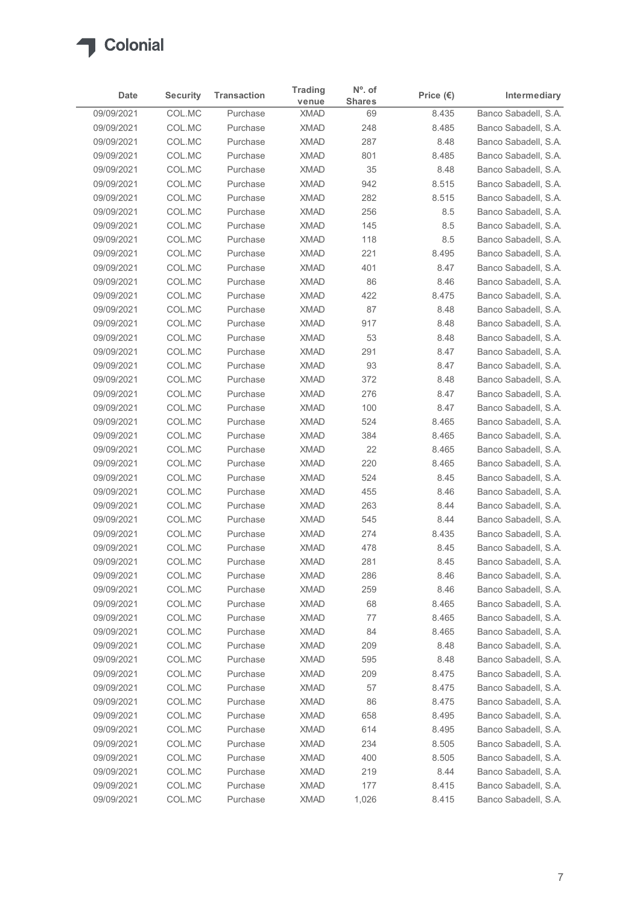

| Date                     | <b>Security</b>  | <b>Transaction</b>   | <b>Trading</b>             | $N^{\circ}$ . of    | Price $(\epsilon)$ | Intermediary                                 |
|--------------------------|------------------|----------------------|----------------------------|---------------------|--------------------|----------------------------------------------|
| 09/09/2021               | COL.MC           | Purchase             | venue<br><b>XMAD</b>       | <b>Shares</b><br>69 | 8.435              | Banco Sabadell, S.A.                         |
| 09/09/2021               | COL.MC           | Purchase             | <b>XMAD</b>                | 248                 | 8.485              | Banco Sabadell, S.A.                         |
| 09/09/2021               | COL.MC           | Purchase             | <b>XMAD</b>                | 287                 | 8.48               | Banco Sabadell, S.A.                         |
| 09/09/2021               | COL.MC           | Purchase             | <b>XMAD</b>                | 801                 | 8.485              | Banco Sabadell, S.A.                         |
| 09/09/2021<br>09/09/2021 | COL.MC<br>COL.MC | Purchase<br>Purchase | <b>XMAD</b><br><b>XMAD</b> | 35<br>942           | 8.48<br>8.515      | Banco Sabadell, S.A.<br>Banco Sabadell, S.A. |
| 09/09/2021               | COL.MC           | Purchase             | <b>XMAD</b>                | 282                 | 8.515              | Banco Sabadell, S.A.                         |
| 09/09/2021               | COL.MC           | Purchase             | <b>XMAD</b>                | 256                 | 8.5                | Banco Sabadell, S.A.                         |
| 09/09/2021               | COL.MC           | Purchase             | <b>XMAD</b>                | 145                 | $8.5\,$            | Banco Sabadell, S.A.                         |
| 09/09/2021               | COL.MC           | Purchase             | <b>XMAD</b>                | 118                 | 8.5                | Banco Sabadell, S.A.                         |
| 09/09/2021               | COL.MC           | Purchase             | <b>XMAD</b>                | 221                 | 8.495              | Banco Sabadell, S.A.                         |
| 09/09/2021<br>09/09/2021 | COL.MC<br>COL.MC | Purchase<br>Purchase | <b>XMAD</b><br><b>XMAD</b> | 401<br>86           | 8.47<br>8.46       | Banco Sabadell, S.A.<br>Banco Sabadell, S.A. |
| 09/09/2021               | COL.MC           | Purchase             | <b>XMAD</b>                | 422                 | 8.475              | Banco Sabadell, S.A.                         |
| 09/09/2021               | COL.MC           | Purchase             | <b>XMAD</b>                | 87                  | 8.48               | Banco Sabadell, S.A.                         |
| 09/09/2021               | COL.MC           | Purchase             | <b>XMAD</b>                | 917                 | 8.48               | Banco Sabadell, S.A.                         |
| 09/09/2021               | COL.MC           | Purchase             | <b>XMAD</b>                | 53                  | 8.48               | Banco Sabadell, S.A.                         |
| 09/09/2021               | COL.MC           | Purchase             | <b>XMAD</b>                | 291                 | 8.47               | Banco Sabadell, S.A.                         |
| 09/09/2021<br>09/09/2021 | COL.MC<br>COL.MC | Purchase<br>Purchase | <b>XMAD</b><br><b>XMAD</b> | 93<br>372           | 8.47<br>8.48       | Banco Sabadell, S.A.<br>Banco Sabadell, S.A. |
| 09/09/2021               | COL.MC           | Purchase             | <b>XMAD</b>                | 276                 | 8.47               | Banco Sabadell, S.A.                         |
| 09/09/2021               | COL.MC           | Purchase             | <b>XMAD</b>                | 100                 | 8.47               | Banco Sabadell, S.A.                         |
| 09/09/2021               | COL.MC           | Purchase             | <b>XMAD</b>                | 524                 | 8.465              | Banco Sabadell, S.A.                         |
| 09/09/2021               | COL.MC           | Purchase             | <b>XMAD</b>                | 384                 | 8.465              | Banco Sabadell, S.A.                         |
| 09/09/2021               | COL.MC           | Purchase             | <b>XMAD</b>                | 22<br>220           | 8.465              | Banco Sabadell, S.A.<br>Banco Sabadell, S.A. |
| 09/09/2021<br>09/09/2021 | COL.MC<br>COL.MC | Purchase<br>Purchase | <b>XMAD</b><br><b>XMAD</b> | 524                 | 8.465<br>8.45      | Banco Sabadell, S.A.                         |
| 09/09/2021               | COL.MC           | Purchase             | <b>XMAD</b>                | 455                 | 8.46               | Banco Sabadell, S.A.                         |
| 09/09/2021               | COL.MC           | Purchase             | <b>XMAD</b>                | 263                 | 8.44               | Banco Sabadell, S.A.                         |
| 09/09/2021               | COL.MC           | Purchase             | <b>XMAD</b>                | 545                 | 8.44               | Banco Sabadell, S.A.                         |
| 09/09/2021               | COL.MC           | Purchase             | <b>XMAD</b>                | 274                 | 8.435              | Banco Sabadell, S.A.                         |
| 09/09/2021               | COL.MC           | Purchase             | <b>XMAD</b>                | 478                 | 8.45               | Banco Sabadell, S.A.                         |
| 09/09/2021<br>09/09/2021 | COL.MC<br>COL.MC | Purchase<br>Purchase | <b>XMAD</b><br><b>XMAD</b> | 281<br>286          | 8.45<br>8.46       | Banco Sabadell, S.A.<br>Banco Sabadell, S.A. |
| 09/09/2021               | COL.MC           | Purchase             | <b>XMAD</b>                | 259                 | 8.46               | Banco Sabadell, S.A.                         |
| 09/09/2021               | COL.MC           | Purchase             | <b>XMAD</b>                | 68                  | 8.465              | Banco Sabadell, S.A.                         |
| 09/09/2021               | COL.MC           | Purchase             | <b>XMAD</b>                | 77                  | 8.465              | Banco Sabadell, S.A.                         |
| 09/09/2021               | COL.MC           | Purchase             | <b>XMAD</b>                | 84                  | 8.465              | Banco Sabadell, S.A.                         |
| 09/09/2021               | COL.MC           | Purchase             | <b>XMAD</b>                | 209                 | 8.48               | Banco Sabadell, S.A.                         |
| 09/09/2021               | COL.MC           | Purchase             | <b>XMAD</b>                | 595                 | 8.48               | Banco Sabadell, S.A.                         |
| 09/09/2021<br>09/09/2021 | COL.MC           | Purchase<br>Purchase | <b>XMAD</b><br><b>XMAD</b> | 209<br>57           | 8.475<br>8.475     | Banco Sabadell, S.A.<br>Banco Sabadell, S.A. |
| 09/09/2021               | COL.MC<br>COL.MC | Purchase             | <b>XMAD</b>                | 86                  | 8.475              | Banco Sabadell, S.A.                         |
| 09/09/2021               | COL.MC           | Purchase             | <b>XMAD</b>                | 658                 | 8.495              | Banco Sabadell, S.A.                         |
| 09/09/2021               | COL.MC           | Purchase             | <b>XMAD</b>                | 614                 | 8.495              | Banco Sabadell, S.A.                         |
| 09/09/2021               | COL.MC           | Purchase             | <b>XMAD</b>                | 234                 | 8.505              | Banco Sabadell, S.A.                         |
| 09/09/2021               | COL.MC           | Purchase             | <b>XMAD</b>                | 400                 | 8.505              | Banco Sabadell, S.A.                         |
| 09/09/2021               | COL.MC           | Purchase             | <b>XMAD</b>                | 219                 | 8.44               | Banco Sabadell, S.A.                         |
| 09/09/2021               | COL.MC           | Purchase             | <b>XMAD</b>                | 177                 | 8.415              | Banco Sabadell, S.A.                         |
| 09/09/2021               | COLMC            | Purchase             | <b>XMAD</b>                | 1,026               | 8.415              | Banco Sabadell, S.A.                         |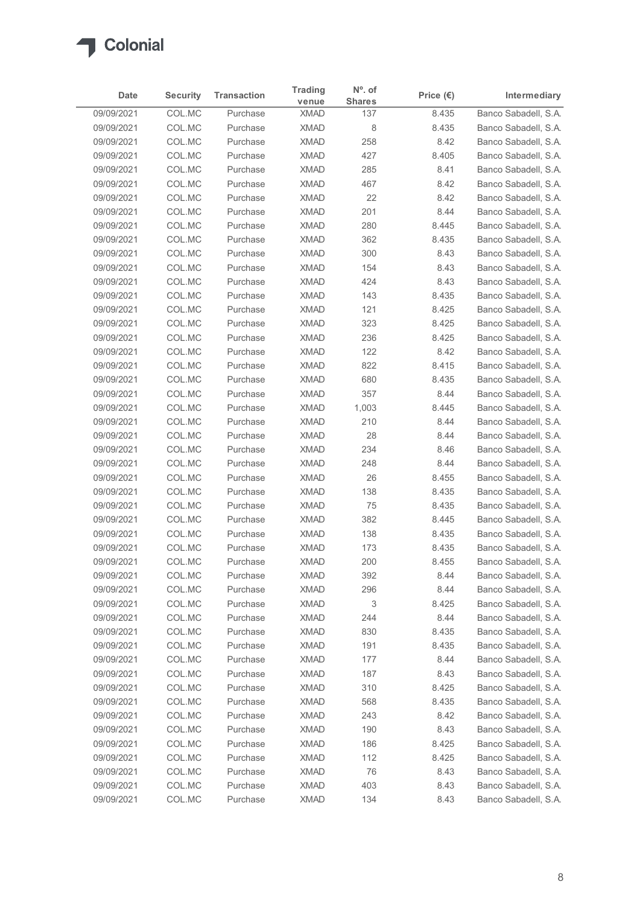

| Date                     | <b>Security</b>  | <b>Transaction</b>   | <b>Trading</b>             | $N^{\circ}$ . of     | Price $(\epsilon)$ | Intermediary                                 |
|--------------------------|------------------|----------------------|----------------------------|----------------------|--------------------|----------------------------------------------|
| 09/09/2021               | COL.MC           | Purchase             | venue<br><b>XMAD</b>       | <b>Shares</b><br>137 | 8.435              | Banco Sabadell, S.A.                         |
| 09/09/2021               | COL.MC           | Purchase             | <b>XMAD</b>                | 8                    | 8.435              | Banco Sabadell, S.A.                         |
| 09/09/2021               | COL.MC           | Purchase             | <b>XMAD</b>                | 258                  | 8.42               | Banco Sabadell, S.A.                         |
| 09/09/2021               | COL.MC           | Purchase             | <b>XMAD</b>                | 427                  | 8.405              | Banco Sabadell, S.A.                         |
| 09/09/2021               | COL.MC           | Purchase             | <b>XMAD</b>                | 285                  | 8.41               | Banco Sabadell, S.A.                         |
| 09/09/2021               | COL.MC           | Purchase             | <b>XMAD</b>                | 467                  | 8.42               | Banco Sabadell, S.A.                         |
| 09/09/2021               | COL.MC           | Purchase             | <b>XMAD</b>                | 22                   | 8.42               | Banco Sabadell, S.A.                         |
| 09/09/2021<br>09/09/2021 | COL.MC<br>COL.MC | Purchase<br>Purchase | <b>XMAD</b><br><b>XMAD</b> | 201<br>280           | 8.44<br>8.445      | Banco Sabadell, S.A.<br>Banco Sabadell, S.A. |
| 09/09/2021               | COL.MC           | Purchase             | <b>XMAD</b>                | 362                  | 8.435              | Banco Sabadell, S.A.                         |
| 09/09/2021               | COL.MC           | Purchase             | <b>XMAD</b>                | 300                  | 8.43               | Banco Sabadell, S.A.                         |
| 09/09/2021               | COL.MC           | Purchase             | <b>XMAD</b>                | 154                  | 8.43               | Banco Sabadell, S.A.                         |
| 09/09/2021               | COL.MC           | Purchase             | <b>XMAD</b>                | 424                  | 8.43               | Banco Sabadell, S.A.                         |
| 09/09/2021               | COL.MC           | Purchase             | <b>XMAD</b>                | 143                  | 8.435              | Banco Sabadell, S.A.                         |
| 09/09/2021               | COL.MC           | Purchase             | <b>XMAD</b>                | 121                  | 8.425              | Banco Sabadell, S.A.                         |
| 09/09/2021               | COL.MC           | Purchase             | <b>XMAD</b>                | 323                  | 8.425              | Banco Sabadell, S.A.                         |
| 09/09/2021<br>09/09/2021 | COL.MC<br>COL.MC | Purchase             | <b>XMAD</b><br><b>XMAD</b> | 236<br>122           | 8.425              | Banco Sabadell, S.A.                         |
| 09/09/2021               | COL.MC           | Purchase<br>Purchase | <b>XMAD</b>                | 822                  | 8.42<br>8.415      | Banco Sabadell, S.A.<br>Banco Sabadell, S.A. |
| 09/09/2021               | COL.MC           | Purchase             | <b>XMAD</b>                | 680                  | 8.435              | Banco Sabadell, S.A.                         |
| 09/09/2021               | COL.MC           | Purchase             | <b>XMAD</b>                | 357                  | 8.44               | Banco Sabadell, S.A.                         |
| 09/09/2021               | COL.MC           | Purchase             | <b>XMAD</b>                | 1,003                | 8.445              | Banco Sabadell, S.A.                         |
| 09/09/2021               | COL.MC           | Purchase             | <b>XMAD</b>                | 210                  | 8.44               | Banco Sabadell, S.A.                         |
| 09/09/2021               | COL.MC           | Purchase             | <b>XMAD</b>                | 28                   | 8.44               | Banco Sabadell, S.A.                         |
| 09/09/2021               | COL.MC           | Purchase             | <b>XMAD</b>                | 234                  | 8.46               | Banco Sabadell, S.A.                         |
| 09/09/2021               | COL.MC           | Purchase             | <b>XMAD</b>                | 248                  | 8.44               | Banco Sabadell, S.A.                         |
| 09/09/2021               | COL.MC           | Purchase             | <b>XMAD</b>                | 26                   | 8.455              | Banco Sabadell, S.A.                         |
| 09/09/2021<br>09/09/2021 | COL.MC<br>COL.MC | Purchase<br>Purchase | <b>XMAD</b><br><b>XMAD</b> | 138<br>75            | 8.435<br>8.435     | Banco Sabadell, S.A.<br>Banco Sabadell, S.A. |
| 09/09/2021               | COL.MC           | Purchase             | <b>XMAD</b>                | 382                  | 8.445              | Banco Sabadell, S.A.                         |
| 09/09/2021               | COL.MC           | Purchase             | <b>XMAD</b>                | 138                  | 8.435              | Banco Sabadell, S.A.                         |
| 09/09/2021               | COL.MC           | Purchase             | <b>XMAD</b>                | 173                  | 8.435              | Banco Sabadell, S.A.                         |
| 09/09/2021               | COL.MC           | Purchase             | <b>XMAD</b>                | 200                  | 8.455              | Banco Sabadell, S.A.                         |
| 09/09/2021               | COL.MC           | Purchase             | <b>XMAD</b>                | 392                  | 8.44               | Banco Sabadell, S.A.                         |
| 09/09/2021               | COL.MC           | Purchase             | <b>XMAD</b>                | 296                  | 8.44               | Banco Sabadell, S.A.                         |
| 09/09/2021               | COL.MC           | Purchase             | <b>XMAD</b>                | 3                    | 8.425              | Banco Sabadell, S.A.                         |
| 09/09/2021               | COL.MC           | Purchase             | <b>XMAD</b>                | 244                  | 8.44               | Banco Sabadell, S.A.                         |
| 09/09/2021               | COL.MC           | Purchase<br>Purchase | <b>XMAD</b>                | 830                  | 8.435<br>8.435     | Banco Sabadell, S.A.                         |
| 09/09/2021<br>09/09/2021 | COL.MC<br>COL.MC | Purchase             | <b>XMAD</b><br><b>XMAD</b> | 191<br>177           | 8.44               | Banco Sabadell, S.A.<br>Banco Sabadell, S.A. |
| 09/09/2021               | COL.MC           | Purchase             | <b>XMAD</b>                | 187                  | 8.43               | Banco Sabadell, S.A.                         |
| 09/09/2021               | COL.MC           | Purchase             | <b>XMAD</b>                | 310                  | 8.425              | Banco Sabadell, S.A.                         |
| 09/09/2021               | COL.MC           | Purchase             | <b>XMAD</b>                | 568                  | 8.435              | Banco Sabadell, S.A.                         |
| 09/09/2021               | COL.MC           | Purchase             | <b>XMAD</b>                | 243                  | 8.42               | Banco Sabadell, S.A.                         |
| 09/09/2021               | COL.MC           | Purchase             | <b>XMAD</b>                | 190                  | 8.43               | Banco Sabadell, S.A.                         |
| 09/09/2021               | COL.MC           | Purchase             | <b>XMAD</b>                | 186                  | 8.425              | Banco Sabadell, S.A.                         |
| 09/09/2021               | COL.MC           | Purchase             | <b>XMAD</b>                | 112                  | 8.425              | Banco Sabadell, S.A.                         |
| 09/09/2021               | COL.MC           | Purchase             | <b>XMAD</b>                | 76                   | 8.43               | Banco Sabadell, S.A.                         |
| 09/09/2021<br>09/09/2021 | COL.MC           | Purchase             | <b>XMAD</b>                | 403                  | 8.43               | Banco Sabadell, S.A.                         |
|                          | COL.MC           | Purchase             | <b>XMAD</b>                | 134                  | 8.43               | Banco Sabadell, S.A.                         |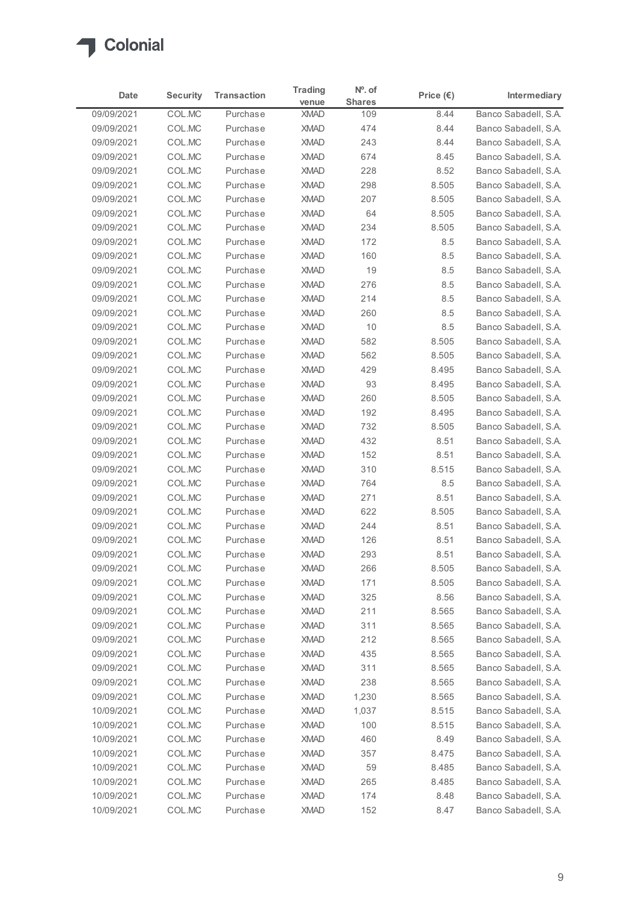

| Date                     | <b>Security</b>  | <b>Transaction</b>   | <b>Trading</b><br>venue    | $No$ . of<br><b>Shares</b> | Price $(\epsilon)$ | Intermediary                                 |
|--------------------------|------------------|----------------------|----------------------------|----------------------------|--------------------|----------------------------------------------|
| 09/09/2021               | COL.MC           | Purchase             | <b>XMAD</b>                | 109                        | 8.44               | Banco Sabadell, S.A.                         |
| 09/09/2021               | COL.MC           | Purchase             | <b>XMAD</b>                | 474                        | 8.44               | Banco Sabadell, S.A.                         |
| 09/09/2021               | COL.MC           | Purchase             | <b>XMAD</b>                | 243                        | 8.44               | Banco Sabadell, S.A.                         |
| 09/09/2021               | COL.MC           | Purchase             | <b>XMAD</b>                | 674                        | 8.45               | Banco Sabadell, S.A.                         |
| 09/09/2021<br>09/09/2021 | COL.MC<br>COL.MC | Purchase<br>Purchase | <b>XMAD</b><br><b>XMAD</b> | 228                        | 8.52<br>8.505      | Banco Sabadell, S.A.<br>Banco Sabadell, S.A. |
| 09/09/2021               | COL.MC           | Purchase             | <b>XMAD</b>                | 298<br>207                 | 8.505              | Banco Sabadell, S.A.                         |
| 09/09/2021               | COL.MC           | Purchase             | <b>XMAD</b>                | 64                         | 8.505              | Banco Sabadell, S.A.                         |
| 09/09/2021               | COL.MC           | Purchase             | <b>XMAD</b>                | 234                        | 8.505              | Banco Sabadell, S.A.                         |
| 09/09/2021               | COL.MC           | Purchase             | <b>XMAD</b>                | 172                        | 8.5                | Banco Sabadell, S.A.                         |
| 09/09/2021               | COL.MC           | Purchase             | <b>XMAD</b>                | 160                        | 8.5                | Banco Sabadell, S.A.                         |
| 09/09/2021               | COL.MC           | Purchase             | <b>XMAD</b>                | 19                         | 8.5                | Banco Sabadell, S.A.                         |
| 09/09/2021               | COL.MC           | Purchase             | <b>XMAD</b>                | 276                        | 8.5                | Banco Sabadell, S.A.                         |
| 09/09/2021               | COL.MC           | Purchase             | XMAD                       | 214                        | 8.5                | Banco Sabadell, S.A.                         |
| 09/09/2021               | COL.MC           | Purchase             | <b>XMAD</b>                | 260                        | 8.5                | Banco Sabadell, S.A.                         |
| 09/09/2021               | COL.MC           | Purchase<br>Purchase | <b>XMAD</b>                | 10                         | $8.5\,$            | Banco Sabadell, S.A.                         |
| 09/09/2021<br>09/09/2021 | COL.MC<br>COL.MC | Purchase             | <b>XMAD</b><br><b>XMAD</b> | 582<br>562                 | 8.505<br>8.505     | Banco Sabadell, S.A.<br>Banco Sabadell, S.A. |
| 09/09/2021               | COL.MC           | Purchase             | <b>XMAD</b>                | 429                        | 8.495              | Banco Sabadell, S.A.                         |
| 09/09/2021               | COL.MC           | Purchase             | <b>XMAD</b>                | 93                         | 8.495              | Banco Sabadell, S.A.                         |
| 09/09/2021               | COL.MC           | Purchase             | <b>XMAD</b>                | 260                        | 8.505              | Banco Sabadell, S.A.                         |
| 09/09/2021               | COL.MC           | Purchase             | <b>XMAD</b>                | 192                        | 8.495              | Banco Sabadell, S.A.                         |
| 09/09/2021               | COL.MC           | Purchase             | <b>XMAD</b>                | 732                        | 8.505              | Banco Sabadell, S.A.                         |
| 09/09/2021               | COL.MC           | Purchase             | <b>XMAD</b>                | 432                        | 8.51               | Banco Sabadell, S.A.                         |
| 09/09/2021               | COL.MC           | Purchase             | <b>XMAD</b>                | 152                        | 8.51               | Banco Sabadell, S.A.                         |
| 09/09/2021               | COL.MC           | Purchase             | <b>XMAD</b>                | 310                        | 8.515              | Banco Sabadell, S.A.                         |
| 09/09/2021               | COL.MC           | Purchase             | <b>XMAD</b>                | 764                        | $8.5\,$            | Banco Sabadell, S.A.                         |
| 09/09/2021               | COL.MC           | Purchase<br>Purchase | <b>XMAD</b><br><b>XMAD</b> | 271                        | 8.51<br>8.505      | Banco Sabadell, S.A.<br>Banco Sabadell, S.A. |
| 09/09/2021<br>09/09/2021 | COL.MC<br>COL.MC | Purchase             | <b>XMAD</b>                | 622<br>244                 | 8.51               | Banco Sabadell, S.A.                         |
| 09/09/2021               | COL.MC           | Purchase             | <b>XMAD</b>                | 126                        | 8.51               | Banco Sabadell, S.A.                         |
| 09/09/2021               | COL.MC           | Purchase             | <b>XMAD</b>                | 293                        | 8.51               | Banco Sabadell, S.A.                         |
| 09/09/2021               | COL.MC           | Purchase             | <b>XMAD</b>                | 266                        | 8.505              | Banco Sabadell, S.A.                         |
| 09/09/2021               | COL.MC           | Purchase             | <b>XMAD</b>                | 171                        | 8.505              | Banco Sabadell, S.A.                         |
| 09/09/2021               | COL.MC           | Purchase             | <b>XMAD</b>                | 325                        | 8.56               | Banco Sabadell, S.A.                         |
| 09/09/2021               | COL.MC           | Purchase             | <b>XMAD</b>                | 211                        | 8.565              | Banco Sabadell, S.A.                         |
| 09/09/2021               | COL.MC           | Purchase             | <b>XMAD</b>                | 311                        | 8.565              | Banco Sabadell, S.A.                         |
| 09/09/2021               | COL.MC           | Purchase             | <b>XMAD</b>                | 212                        | 8.565              | Banco Sabadell, S.A.                         |
| 09/09/2021               | COL.MC           | Purchase             | <b>XMAD</b>                | 435                        | 8.565              | Banco Sabadell, S.A.                         |
| 09/09/2021               | COL.MC           | Purchase             | <b>XMAD</b>                | 311                        | 8.565              | Banco Sabadell, S.A.                         |
| 09/09/2021               | COL.MC           | Purchase             | <b>XMAD</b>                | 238                        | 8.565              | Banco Sabadell, S.A.                         |
| 09/09/2021<br>10/09/2021 | COL.MC<br>COL.MC | Purchase<br>Purchase | <b>XMAD</b><br><b>XMAD</b> | 1,230<br>1,037             | 8.565<br>8.515     | Banco Sabadell, S.A.<br>Banco Sabadell, S.A. |
| 10/09/2021               | COL.MC           | Purchase             | <b>XMAD</b>                | 100                        | 8.515              | Banco Sabadell, S.A.                         |
| 10/09/2021               | COL.MC           | Purchase             | <b>XMAD</b>                | 460                        | 8.49               | Banco Sabadell, S.A.                         |
| 10/09/2021               | COL.MC           | Purchase             | <b>XMAD</b>                | 357                        | 8.475              | Banco Sabadell, S.A.                         |
| 10/09/2021               | COL.MC           | Purchase             | <b>XMAD</b>                | 59                         | 8.485              | Banco Sabadell, S.A.                         |
| 10/09/2021               | COL.MC           | Purchase             | XMAD                       | 265                        | 8.485              | Banco Sabadell, S.A.                         |
|                          | COL.MC           | Purchase             | <b>XMAD</b>                | 174                        | 8.48               | Banco Sabadell, S.A.                         |
| 10/09/2021               |                  | Purchase             | <b>XMAD</b>                | 152                        | 8.47               | Banco Sabadell, S.A.                         |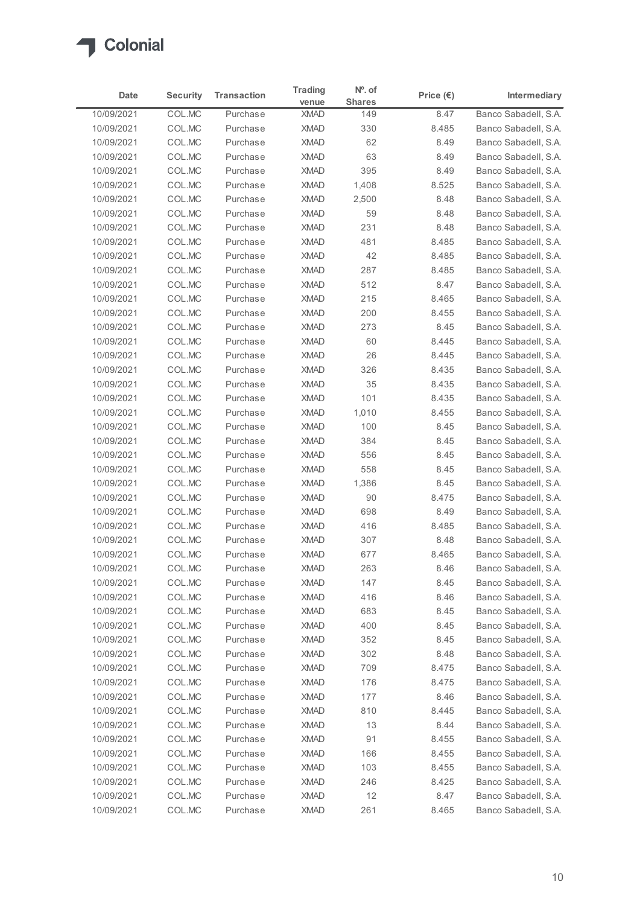

| Date<br>10/09/2021<br>10/09/2021<br>10/09/2021<br>10/09/2021<br>10/09/2021<br>10/09/2021<br>10/09/2021 | <b>Security</b><br>COL.MC<br>COL.MC<br>COL.MC | <b>Transaction</b><br>Purchase | <b>Trading</b>             | $No$ . of     |                    |                                              |
|--------------------------------------------------------------------------------------------------------|-----------------------------------------------|--------------------------------|----------------------------|---------------|--------------------|----------------------------------------------|
|                                                                                                        |                                               |                                | venue                      | <b>Shares</b> | Price $(\epsilon)$ | Intermediary                                 |
|                                                                                                        |                                               |                                | <b>XMAD</b>                | 149           | 8.47               | Banco Sabadell, S.A.                         |
|                                                                                                        |                                               | Purchase                       | <b>XMAD</b>                | 330           | 8.485              | Banco Sabadell, S.A.                         |
|                                                                                                        |                                               | Purchase                       | <b>XMAD</b>                | 62            | 8.49               | Banco Sabadell, S.A.                         |
|                                                                                                        | COL.MC                                        | Purchase                       | <b>XMAD</b>                | 63            | 8.49               | Banco Sabadell, S.A.                         |
|                                                                                                        | COL.MC<br>COL.MC                              | Purchase<br>Purchase           | <b>XMAD</b><br><b>XMAD</b> | 395<br>1,408  | 8.49<br>8.525      | Banco Sabadell, S.A.<br>Banco Sabadell, S.A. |
|                                                                                                        | COL.MC                                        | Purchase                       | <b>XMAD</b>                | 2,500         | 8.48               | Banco Sabadell, S.A.                         |
| 10/09/2021                                                                                             | COL.MC                                        | Purchase                       | <b>XMAD</b>                | 59            | 8.48               | Banco Sabadell, S.A.                         |
| 10/09/2021                                                                                             | COL.MC                                        | Purchase                       | <b>XMAD</b>                | 231           | 8.48               | Banco Sabadell, S.A.                         |
| 10/09/2021                                                                                             | COL.MC                                        | Purchase                       | <b>XMAD</b>                | 481           | 8.485              | Banco Sabadell, S.A.                         |
| 10/09/2021                                                                                             | COL.MC                                        | Purchase                       | <b>XMAD</b>                | 42            | 8.485              | Banco Sabadell, S.A.                         |
| 10/09/2021                                                                                             | COL.MC                                        | Purchase                       | <b>XMAD</b>                | 287           | 8.485              | Banco Sabadell, S.A.                         |
| 10/09/2021                                                                                             | COL.MC                                        | Purchase                       | <b>XMAD</b>                | 512           | 8.47               | Banco Sabadell, S.A.                         |
| 10/09/2021                                                                                             | COL.MC                                        | Purchase                       | XMAD                       | 215           | 8.465              | Banco Sabadell, S.A.                         |
| 10/09/2021                                                                                             | COL.MC                                        | Purchase                       | <b>XMAD</b>                | 200           | 8.455              | Banco Sabadell, S.A.                         |
| 10/09/2021<br>10/09/2021                                                                               | COL.MC<br>COL.MC                              | Purchase<br>Purchase           | <b>XMAD</b><br><b>XMAD</b> | 273<br>60     | 8.45<br>8.445      | Banco Sabadell, S.A.<br>Banco Sabadell, S.A. |
| 10/09/2021                                                                                             | COL.MC                                        | Purchase                       | <b>XMAD</b>                | 26            | 8.445              | Banco Sabadell, S.A.                         |
| 10/09/2021                                                                                             | COL.MC                                        | Purchase                       | <b>XMAD</b>                | 326           | 8.435              | Banco Sabadell, S.A.                         |
| 10/09/2021                                                                                             | COL.MC                                        | Purchase                       | <b>XMAD</b>                | 35            | 8.435              | Banco Sabadell, S.A.                         |
| 10/09/2021                                                                                             | COL.MC                                        | Purchase                       | <b>XMAD</b>                | 101           | 8.435              | Banco Sabadell, S.A.                         |
| 10/09/2021                                                                                             | COL.MC                                        | Purchase                       | <b>XMAD</b>                | 1,010         | 8.455              | Banco Sabadell, S.A.                         |
| 10/09/2021                                                                                             | COL.MC                                        | Purchase                       | <b>XMAD</b>                | 100           | 8.45               | Banco Sabadell, S.A.                         |
| 10/09/2021                                                                                             | COL.MC                                        | Purchase                       | <b>XMAD</b>                | 384           | 8.45               | Banco Sabadell, S.A.                         |
| 10/09/2021                                                                                             | COL.MC                                        | Purchase                       | <b>XMAD</b>                | 556           | 8.45               | Banco Sabadell, S.A.                         |
| 10/09/2021                                                                                             | COL.MC                                        | Purchase                       | <b>XMAD</b>                | 558           | 8.45               | Banco Sabadell, S.A.                         |
| 10/09/2021                                                                                             | COL.MC                                        | Purchase                       | <b>XMAD</b>                | 1,386         | 8.45               | Banco Sabadell, S.A.                         |
| 10/09/2021                                                                                             | COL.MC                                        | Purchase                       | <b>XMAD</b>                | 90            | 8.475              | Banco Sabadell, S.A.                         |
| 10/09/2021<br>10/09/2021                                                                               | COL.MC<br>COL.MC                              | Purchase<br>Purchase           | <b>XMAD</b><br><b>XMAD</b> | 698<br>416    | 8.49<br>8.485      | Banco Sabadell, S.A.<br>Banco Sabadell, S.A. |
| 10/09/2021                                                                                             | COL.MC                                        | Purchase                       | <b>XMAD</b>                | 307           | 8.48               | Banco Sabadell, S.A.                         |
| 10/09/2021                                                                                             | COL.MC                                        | Purchase                       | <b>XMAD</b>                | 677           | 8.465              | Banco Sabadell, S.A.                         |
| 10/09/2021                                                                                             | COL.MC                                        | Purchase                       | <b>XMAD</b>                | 263           | 8.46               | Banco Sabadell, S.A.                         |
| 10/09/2021                                                                                             | COL.MC                                        | Purchase                       | <b>XMAD</b>                | 147           | 8.45               | Banco Sabadell, S.A.                         |
| 10/09/2021                                                                                             | COL.MC                                        | Purchase                       | <b>XMAD</b>                | 416           | 8.46               | Banco Sabadell, S.A.                         |
| 10/09/2021                                                                                             | COL.MC                                        | Purchase                       | <b>XMAD</b>                | 683           | 8.45               | Banco Sabadell, S.A.                         |
| 10/09/2021                                                                                             | COL.MC                                        | Purchase                       | <b>XMAD</b>                | 400           | 8.45               | Banco Sabadell, S.A.                         |
| 10/09/2021                                                                                             | COL.MC                                        | Purchase                       | <b>XMAD</b>                | 352           | 8.45               | Banco Sabadell, S.A.                         |
| 10/09/2021                                                                                             | COL.MC                                        | Purchase                       | <b>XMAD</b>                | 302           | 8.48               | Banco Sabadell, S.A.                         |
| 10/09/2021                                                                                             | COL.MC                                        | Purchase                       | <b>XMAD</b>                | 709           | 8.475              | Banco Sabadell, S.A.                         |
| 10/09/2021                                                                                             | COL.MC                                        | Purchase                       | <b>XMAD</b>                | 176           | 8.475              | Banco Sabadell, S.A.                         |
| 10/09/2021                                                                                             | COL.MC                                        | Purchase                       | <b>XMAD</b>                | 177           | 8.46               | Banco Sabadell, S.A.                         |
| 10/09/2021                                                                                             | COL.MC                                        | Purchase                       | <b>XMAD</b>                | 810           | 8.445              | Banco Sabadell, S.A.                         |
| 10/09/2021                                                                                             | COL.MC                                        | Purchase                       | <b>XMAD</b>                | 13            | 8.44               | Banco Sabadell, S.A.                         |
| 10/09/2021                                                                                             | COL.MC                                        | Purchase                       | <b>XMAD</b>                | 91            | 8.455              | Banco Sabadell, S.A.                         |
| 10/09/2021                                                                                             | COL.MC                                        | Purchase                       | <b>XMAD</b>                | 166           | 8.455              | Banco Sabadell, S.A.                         |
| 10/09/2021<br>10/09/2021                                                                               | COL.MC<br>COL.MC                              | Purchase<br>Purchase           | <b>XMAD</b><br>XMAD        | 103<br>246    | 8.455<br>8.425     | Banco Sabadell, S.A.<br>Banco Sabadell, S.A. |
| 10/09/2021                                                                                             | COL.MC                                        | Purchase                       | <b>XMAD</b>                | 12            | 8.47               | Banco Sabadell, S.A.                         |
| 10/09/2021                                                                                             | COLMC                                         | Purchase                       | <b>XMAD</b>                | 261           | 8.465              | Banco Sabadell, S.A.                         |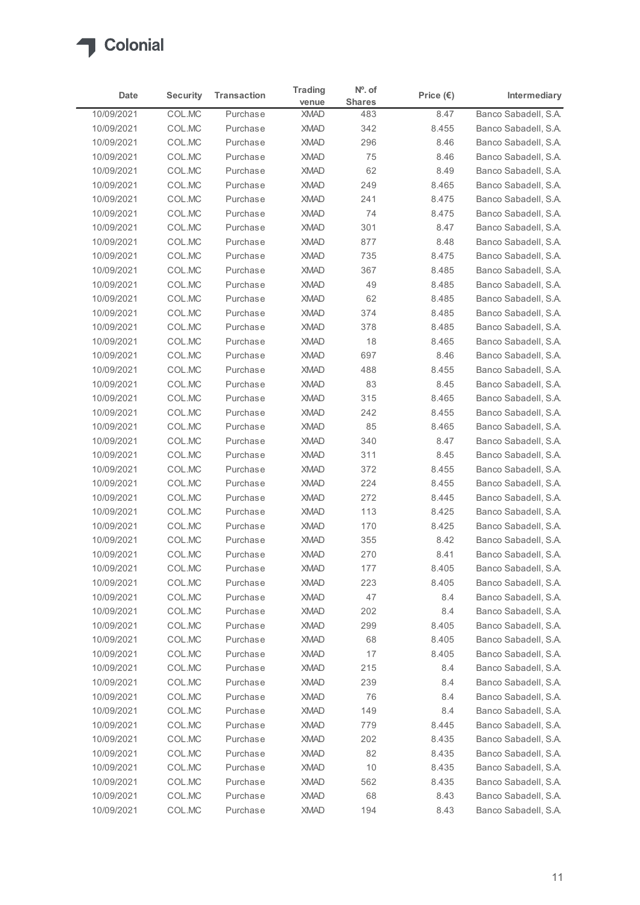

| Date                     | <b>Security</b>  | <b>Transaction</b>   | <b>Trading</b><br>venue    | $No$ . of<br><b>Shares</b> | Price $(\epsilon)$ | Intermediary                                 |
|--------------------------|------------------|----------------------|----------------------------|----------------------------|--------------------|----------------------------------------------|
| 10/09/2021               | COL.MC           | Purchase             | <b>XMAD</b>                | 483                        | 8.47               | Banco Sabadell, S.A.                         |
| 10/09/2021               | COL.MC           | Purchase             | <b>XMAD</b>                | 342                        | 8.455              | Banco Sabadell, S.A.                         |
| 10/09/2021               | COL.MC           | Purchase             | <b>XMAD</b>                | 296                        | 8.46               | Banco Sabadell, S.A.                         |
| 10/09/2021               | COL.MC           | Purchase             | <b>XMAD</b>                | 75                         | 8.46               | Banco Sabadell, S.A.                         |
| 10/09/2021               | COL.MC           | Purchase             | <b>XMAD</b>                | 62                         | 8.49               | Banco Sabadell, S.A.                         |
| 10/09/2021               | COL.MC           | Purchase             | <b>XMAD</b>                | 249                        | 8.465              | Banco Sabadell, S.A.                         |
| 10/09/2021               | COL.MC           | Purchase             | <b>XMAD</b>                | 241                        | 8.475              | Banco Sabadell, S.A.                         |
| 10/09/2021               | COL.MC           | Purchase             | <b>XMAD</b>                | 74                         | 8.475              | Banco Sabadell, S.A.                         |
| 10/09/2021               | COL.MC           | Purchase             | <b>XMAD</b>                | 301                        | 8.47               | Banco Sabadell, S.A.                         |
| 10/09/2021<br>10/09/2021 | COL.MC<br>COL.MC | Purchase<br>Purchase | <b>XMAD</b><br><b>XMAD</b> | 877<br>735                 | 8.48               | Banco Sabadell, S.A.                         |
| 10/09/2021               | COL.MC           | Purchase             | <b>XMAD</b>                | 367                        | 8.475<br>8.485     | Banco Sabadell, S.A.<br>Banco Sabadell, S.A. |
| 10/09/2021               | COL.MC           | Purchase             | <b>XMAD</b>                | 49                         | 8.485              | Banco Sabadell, S.A.                         |
| 10/09/2021               | COL.MC           | Purchase             | XMAD                       | 62                         | 8.485              | Banco Sabadell, S.A.                         |
| 10/09/2021               | COL.MC           | Purchase             | <b>XMAD</b>                | 374                        | 8.485              | Banco Sabadell, S.A.                         |
| 10/09/2021               | COL.MC           | Purchase             | <b>XMAD</b>                | 378                        | 8.485              | Banco Sabadell, S.A.                         |
| 10/09/2021               | COL.MC           | Purchase             | <b>XMAD</b>                | 18                         | 8.465              | Banco Sabadell, S.A.                         |
| 10/09/2021               | COL.MC           | Purchase             | <b>XMAD</b>                | 697                        | 8.46               | Banco Sabadell, S.A.                         |
| 10/09/2021               | COL.MC           | Purchase             | <b>XMAD</b>                | 488                        | 8.455              | Banco Sabadell, S.A.                         |
| 10/09/2021               | COL.MC           | Purchase             | <b>XMAD</b>                | 83                         | 8.45               | Banco Sabadell, S.A.                         |
| 10/09/2021               | COL.MC           | Purchase             | <b>XMAD</b>                | 315                        | 8.465              | Banco Sabadell, S.A.                         |
| 10/09/2021               | COL.MC           | Purchase             | <b>XMAD</b>                | 242                        | 8.455              | Banco Sabadell, S.A.                         |
| 10/09/2021               | COL.MC           | Purchase             | <b>XMAD</b>                | 85                         | 8.465              | Banco Sabadell, S.A.                         |
| 10/09/2021               | COL.MC           | Purchase             | <b>XMAD</b>                | 340                        | 8.47               | Banco Sabadell, S.A.                         |
| 10/09/2021               | COL.MC           | Purchase             | <b>XMAD</b>                | 311                        | 8.45               | Banco Sabadell, S.A.                         |
| 10/09/2021               | COL.MC           | Purchase             | <b>XMAD</b>                | 372                        | 8.455              | Banco Sabadell, S.A.                         |
| 10/09/2021               | COL.MC           | Purchase             | <b>XMAD</b>                | 224                        | 8.455              | Banco Sabadell, S.A.                         |
| 10/09/2021               | COL.MC           | Purchase             | <b>XMAD</b>                | 272                        | 8.445              | Banco Sabadell, S.A.                         |
| 10/09/2021               | COL.MC           | Purchase             | <b>XMAD</b>                | 113                        | 8.425              | Banco Sabadell, S.A.                         |
| 10/09/2021               | COL.MC           | Purchase             | <b>XMAD</b>                | 170                        | 8.425              | Banco Sabadell, S.A.                         |
| 10/09/2021               | COL.MC           | Purchase             | <b>XMAD</b>                | 355                        | 8.42               | Banco Sabadell, S.A.                         |
| 10/09/2021               | COL.MC           | Purchase             | <b>XMAD</b>                | 270                        | 8.41               | Banco Sabadell, S.A.                         |
| 10/09/2021               | COL.MC           | Purchase<br>Purchase | <b>XMAD</b><br><b>XMAD</b> | 177                        | 8.405<br>8.405     | Banco Sabadell, S.A.<br>Banco Sabadell, S.A. |
| 10/09/2021<br>10/09/2021 | COL.MC<br>COL.MC | Purchase             | <b>XMAD</b>                | 223<br>47                  | 8.4                | Banco Sabadell, S.A.                         |
| 10/09/2021               | COL.MC           | Purchase             | <b>XMAD</b>                | 202                        | 8.4                | Banco Sabadell, S.A.                         |
| 10/09/2021               | COL.MC           | Purchase             | <b>XMAD</b>                | 299                        | 8.405              | Banco Sabadell, S.A.                         |
| 10/09/2021               | COL.MC           | Purchase             | <b>XMAD</b>                | 68                         | 8.405              | Banco Sabadell, S.A.                         |
| 10/09/2021               | COL.MC           | Purchase             | <b>XMAD</b>                | 17                         | 8.405              | Banco Sabadell, S.A.                         |
| 10/09/2021               | COL.MC           | Purchase             | XMAD                       | 215                        | 8.4                | Banco Sabadell, S.A.                         |
| 10/09/2021               | COL.MC           | Purchase             | <b>XMAD</b>                | 239                        | 8.4                | Banco Sabadell, S.A.                         |
| 10/09/2021               | COL.MC           | Purchase             | <b>XMAD</b>                | 76                         | 8.4                | Banco Sabadell, S.A.                         |
| 10/09/2021               | COL.MC           | Purchase             | <b>XMAD</b>                | 149                        | 8.4                | Banco Sabadell, S.A.                         |
| 10/09/2021               | COL.MC           | Purchase             | <b>XMAD</b>                | 779                        | 8.445              | Banco Sabadell, S.A.                         |
| 10/09/2021               | COL.MC           | Purchase             | <b>XMAD</b>                | 202                        | 8.435              | Banco Sabadell, S.A.                         |
| 10/09/2021               | COL.MC           | Purchase             | <b>XMAD</b>                | 82                         | 8.435              | Banco Sabadell, S.A.                         |
| 10/09/2021               | COL.MC           | Purchase             | <b>XMAD</b>                | 10                         | 8.435              | Banco Sabadell, S.A.                         |
| 10/09/2021               | COL.MC           | Purchase             | XMAD                       | 562                        | 8.435              | Banco Sabadell, S.A.                         |
|                          | COL.MC           | Purchase             | <b>XMAD</b>                | 68                         | 8.43               | Banco Sabadell, S.A.                         |
| 10/09/2021               | COL.MC           | Purchase             | <b>XMAD</b>                | 194                        | 8.43               | Banco Sabadell, S.A.                         |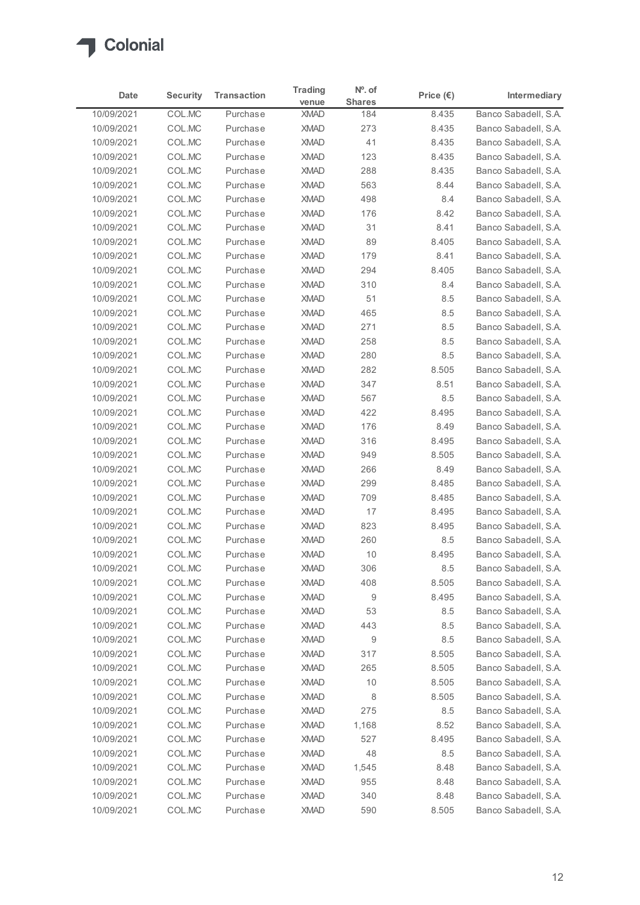

| Date                     | <b>Security</b>  | <b>Transaction</b>   | <b>Trading</b><br>venue | $No$ . of<br><b>Shares</b> | Price $(\epsilon)$ | Intermediary                                 |
|--------------------------|------------------|----------------------|-------------------------|----------------------------|--------------------|----------------------------------------------|
| 10/09/2021               | COL.MC           | Purchase             | <b>XMAD</b>             | 184                        | 8.435              | Banco Sabadell, S.A.                         |
| 10/09/2021               | COL.MC           | Purchase             | <b>XMAD</b>             | 273                        | 8.435              | Banco Sabadell, S.A.                         |
| 10/09/2021               | COL.MC           | Purchase             | <b>XMAD</b>             | 41                         | 8.435              | Banco Sabadell, S.A.                         |
| 10/09/2021               | COL.MC           | Purchase             | <b>XMAD</b>             | 123                        | 8.435              | Banco Sabadell, S.A.                         |
| 10/09/2021               | COL.MC           | Purchase             | <b>XMAD</b>             | 288                        | 8.435              | Banco Sabadell, S.A.                         |
| 10/09/2021               | COL.MC           | Purchase             | <b>XMAD</b>             | 563                        | 8.44               | Banco Sabadell, S.A.                         |
| 10/09/2021               | COL.MC           | Purchase             | <b>XMAD</b>             | 498                        | 8.4                | Banco Sabadell, S.A.                         |
| 10/09/2021               | COL.MC           | Purchase             | <b>XMAD</b>             | 176                        | 8.42               | Banco Sabadell, S.A.                         |
| 10/09/2021               | COL.MC           | Purchase             | <b>XMAD</b>             | 31                         | 8.41               | Banco Sabadell, S.A.                         |
| 10/09/2021               | COL.MC           | Purchase             | <b>XMAD</b>             | 89                         | 8.405              | Banco Sabadell, S.A.                         |
| 10/09/2021               | COL.MC           | Purchase             | <b>XMAD</b>             | 179                        | 8.41               | Banco Sabadell, S.A.                         |
| 10/09/2021               | COL.MC           | Purchase             | <b>XMAD</b>             | 294                        | 8.405              | Banco Sabadell, S.A.                         |
| 10/09/2021               | COL.MC           | Purchase             | <b>XMAD</b>             | 310                        | 8.4                | Banco Sabadell, S.A.<br>Banco Sabadell, S.A. |
| 10/09/2021<br>10/09/2021 | COL.MC<br>COL.MC | Purchase<br>Purchase | XMAD<br><b>XMAD</b>     | 51<br>465                  | 8.5<br>8.5         | Banco Sabadell, S.A.                         |
| 10/09/2021               | COL.MC           | Purchase             | <b>XMAD</b>             | 271                        | $8.5\,$            | Banco Sabadell, S.A.                         |
| 10/09/2021               | COL.MC           | Purchase             | <b>XMAD</b>             | 258                        | 8.5                | Banco Sabadell, S.A.                         |
| 10/09/2021               | COL.MC           | Purchase             | <b>XMAD</b>             | 280                        | 8.5                | Banco Sabadell, S.A.                         |
| 10/09/2021               | COL.MC           | Purchase             | <b>XMAD</b>             | 282                        | 8.505              | Banco Sabadell, S.A.                         |
| 10/09/2021               | COL.MC           | Purchase             | <b>XMAD</b>             | 347                        | 8.51               | Banco Sabadell, S.A.                         |
| 10/09/2021               | COL.MC           | Purchase             | <b>XMAD</b>             | 567                        | $8.5\,$            | Banco Sabadell, S.A.                         |
| 10/09/2021               | COL.MC           | Purchase             | <b>XMAD</b>             | 422                        | 8.495              | Banco Sabadell, S.A.                         |
| 10/09/2021               | COL.MC           | Purchase             | <b>XMAD</b>             | 176                        | 8.49               | Banco Sabadell, S.A.                         |
| 10/09/2021               | COL.MC           | Purchase             | <b>XMAD</b>             | 316                        | 8.495              | Banco Sabadell, S.A.                         |
| 10/09/2021               | COL.MC           | Purchase             | <b>XMAD</b>             | 949                        | 8.505              | Banco Sabadell, S.A.                         |
| 10/09/2021               | COL.MC           | Purchase             | <b>XMAD</b>             | 266                        | 8.49               | Banco Sabadell, S.A.                         |
| 10/09/2021               | COL.MC           | Purchase             | <b>XMAD</b>             | 299                        | 8.485              | Banco Sabadell, S.A.                         |
| 10/09/2021               | COL.MC           | Purchase             | <b>XMAD</b>             | 709                        | 8.485              | Banco Sabadell, S.A.                         |
| 10/09/2021               | COL.MC           | Purchase             | <b>XMAD</b>             | 17                         | 8.495              | Banco Sabadell, S.A.                         |
| 10/09/2021               | COL.MC           | Purchase             | <b>XMAD</b>             | 823                        | 8.495              | Banco Sabadell, S.A.                         |
| 10/09/2021               | COL.MC           | Purchase             | <b>XMAD</b>             | 260                        | 8.5                | Banco Sabadell, S.A.                         |
| 10/09/2021               | COL.MC           | Purchase             | <b>XMAD</b>             | 10                         | 8.495              | Banco Sabadell, S.A.                         |
| 10/09/2021               | COL.MC           | Purchase             | <b>XMAD</b>             | 306                        | 8.5                | Banco Sabadell, S.A.                         |
| 10/09/2021               | COL.MC           | Purchase             | <b>XMAD</b>             | 408                        | 8.505              | Banco Sabadell, S.A.                         |
| 10/09/2021               | COL.MC           | Purchase             | <b>XMAD</b>             | 9                          | 8.495              | Banco Sabadell, S.A.                         |
| 10/09/2021               | COL.MC           | Purchase             | <b>XMAD</b>             | 53                         | $8.5\,$            | Banco Sabadell, S.A.                         |
| 10/09/2021               | COL.MC           | Purchase             | <b>XMAD</b>             | 443                        | $8.5\,$            | Banco Sabadell, S.A.                         |
| 10/09/2021               | COL.MC           | Purchase             | <b>XMAD</b>             | 9                          | $8.5\,$            | Banco Sabadell, S.A.                         |
| 10/09/2021               | COL.MC           | Purchase             | <b>XMAD</b>             | 317                        | 8.505              | Banco Sabadell, S.A.                         |
| 10/09/2021               | COL.MC           | Purchase             | <b>XMAD</b>             | 265                        | 8.505              | Banco Sabadell, S.A.                         |
| 10/09/2021               | COL.MC           | Purchase             | <b>XMAD</b>             | 10                         | 8.505              | Banco Sabadell, S.A.                         |
| 10/09/2021               | COL.MC           | Purchase             | <b>XMAD</b>             | 8                          | 8.505              | Banco Sabadell, S.A.                         |
| 10/09/2021               | COL.MC           | Purchase             | <b>XMAD</b>             | 275                        | $8.5\,$            | Banco Sabadell, S.A.                         |
| 10/09/2021               | COL.MC           | Purchase             | <b>XMAD</b>             | 1,168                      | 8.52               | Banco Sabadell, S.A.                         |
| 10/09/2021               | COL.MC           | Purchase             | <b>XMAD</b>             | 527                        | 8.495              | Banco Sabadell, S.A.                         |
| 10/09/2021               | COL.MC           | Purchase             | <b>XMAD</b>             | 48                         | 8.5                | Banco Sabadell, S.A.                         |
| 10/09/2021               | COL.MC           | Purchase             | <b>XMAD</b>             | 1,545                      | 8.48               | Banco Sabadell, S.A.                         |
| 10/09/2021               | COL.MC           | Purchase             | XMAD                    | 955                        | 8.48               | Banco Sabadell, S.A.                         |
| 10/09/2021               | COL.MC           | Purchase             | <b>XMAD</b>             | 340                        | 8.48               | Banco Sabadell, S.A.                         |
| 10/09/2021               | COL.MC           | Purchase             | <b>XMAD</b>             | 590                        | 8.505              | Banco Sabadell, S.A.                         |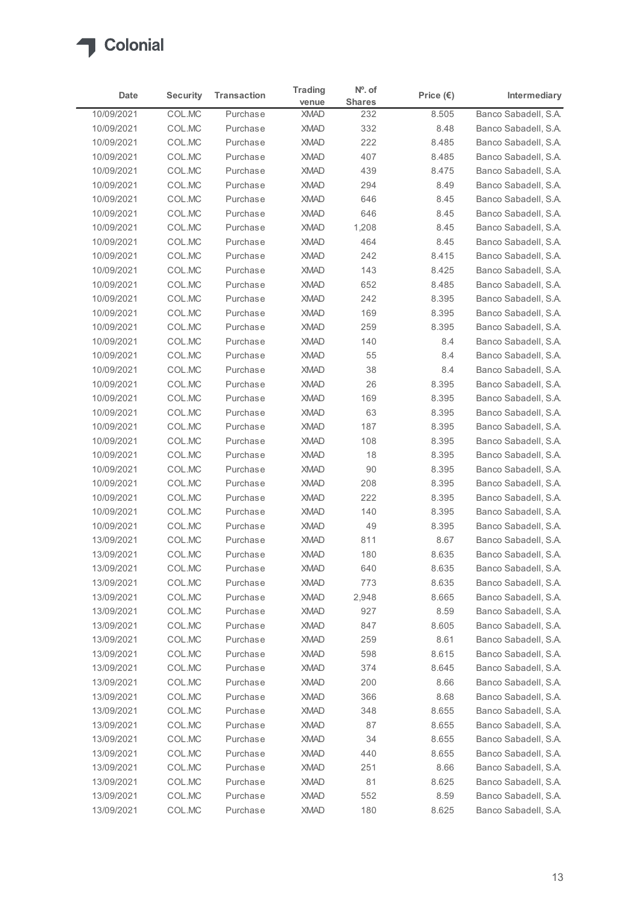

| Date                     | <b>Security</b>  | <b>Transaction</b>   | <b>Trading</b><br>venue    | $No$ . of<br><b>Shares</b> | Price $(\epsilon)$ | Intermediary                                 |
|--------------------------|------------------|----------------------|----------------------------|----------------------------|--------------------|----------------------------------------------|
| 10/09/2021               | COL.MC           | Purchase             | <b>XMAD</b>                | 232                        | 8.505              | Banco Sabadell, S.A.                         |
| 10/09/2021               | COL.MC           | Purchase             | <b>XMAD</b>                | 332                        | 8.48               | Banco Sabadell, S.A.                         |
| 10/09/2021               | COL.MC           | Purchase             | <b>XMAD</b>                | 222                        | 8.485              | Banco Sabadell, S.A.                         |
| 10/09/2021               | COL.MC           | Purchase             | <b>XMAD</b>                | 407                        | 8.485              | Banco Sabadell, S.A.                         |
| 10/09/2021               | COL.MC           | Purchase             | <b>XMAD</b>                | 439                        | 8.475              | Banco Sabadell, S.A.                         |
| 10/09/2021<br>10/09/2021 | COL.MC<br>COL.MC | Purchase<br>Purchase | <b>XMAD</b><br><b>XMAD</b> | 294<br>646                 | 8.49<br>8.45       | Banco Sabadell, S.A.<br>Banco Sabadell, S.A. |
| 10/09/2021               | COL.MC           | Purchase             | <b>XMAD</b>                | 646                        | 8.45               | Banco Sabadell, S.A.                         |
| 10/09/2021               | COL.MC           | Purchase             | <b>XMAD</b>                | 1,208                      | 8.45               | Banco Sabadell, S.A.                         |
| 10/09/2021               | COL.MC           | Purchase             | <b>XMAD</b>                | 464                        | 8.45               | Banco Sabadell, S.A.                         |
| 10/09/2021               | COL.MC           | Purchase             | <b>XMAD</b>                | 242                        | 8.415              | Banco Sabadell, S.A.                         |
| 10/09/2021               | COL.MC           | Purchase             | <b>XMAD</b>                | 143                        | 8.425              | Banco Sabadell, S.A.                         |
| 10/09/2021               | COL.MC           | Purchase             | <b>XMAD</b>                | 652                        | 8.485              | Banco Sabadell, S.A.                         |
| 10/09/2021               | COL.MC           | Purchase             | XMAD                       | 242                        | 8.395              | Banco Sabadell, S.A.                         |
| 10/09/2021               | COL.MC           | Purchase             | <b>XMAD</b>                | 169                        | 8.395              | Banco Sabadell, S.A.                         |
| 10/09/2021               | COL.MC           | Purchase             | <b>XMAD</b>                | 259                        | 8.395              | Banco Sabadell, S.A.                         |
| 10/09/2021<br>10/09/2021 | COL.MC<br>COL.MC | Purchase<br>Purchase | <b>XMAD</b><br><b>XMAD</b> | 140<br>55                  | 8.4<br>8.4         | Banco Sabadell, S.A.<br>Banco Sabadell, S.A. |
| 10/09/2021               | COL.MC           | Purchase             | <b>XMAD</b>                | 38                         | 8.4                | Banco Sabadell, S.A.                         |
| 10/09/2021               | COL.MC           | Purchase             | <b>XMAD</b>                | 26                         | 8.395              | Banco Sabadell, S.A.                         |
| 10/09/2021               | COL.MC           | Purchase             | <b>XMAD</b>                | 169                        | 8.395              | Banco Sabadell, S.A.                         |
| 10/09/2021               | COL.MC           | Purchase             | <b>XMAD</b>                | 63                         | 8.395              | Banco Sabadell, S.A.                         |
| 10/09/2021               | COL.MC           | Purchase             | <b>XMAD</b>                | 187                        | 8.395              | Banco Sabadell, S.A.                         |
| 10/09/2021               | COL.MC           | Purchase             | <b>XMAD</b>                | 108                        | 8.395              | Banco Sabadell, S.A.                         |
| 10/09/2021               | COL.MC           | Purchase             | <b>XMAD</b>                | 18                         | 8.395              | Banco Sabadell, S.A.                         |
| 10/09/2021               | COL.MC           | Purchase             | <b>XMAD</b>                | 90                         | 8.395              | Banco Sabadell, S.A.                         |
| 10/09/2021               | COL.MC           | Purchase             | <b>XMAD</b>                | 208                        | 8.395              | Banco Sabadell, S.A.                         |
| 10/09/2021<br>10/09/2021 | COL.MC<br>COL.MC | Purchase<br>Purchase | <b>XMAD</b><br><b>XMAD</b> | 222<br>140                 | 8.395<br>8.395     | Banco Sabadell, S.A.<br>Banco Sabadell, S.A. |
| 10/09/2021               | COL.MC           | Purchase             | <b>XMAD</b>                | 49                         | 8.395              | Banco Sabadell, S.A.                         |
| 13/09/2021               | COL.MC           | Purchase             | <b>XMAD</b>                | 811                        | 8.67               | Banco Sabadell, S.A.                         |
| 13/09/2021               | COL.MC           | Purchase             | <b>XMAD</b>                | 180                        | 8.635              | Banco Sabadell, S.A.                         |
| 13/09/2021               | COL.MC           | Purchase             | <b>XMAD</b>                | 640                        | 8.635              | Banco Sabadell, S.A.                         |
| 13/09/2021               | COL.MC           | Purchase             | <b>XMAD</b>                | 773                        | 8.635              | Banco Sabadell, S.A.                         |
| 13/09/2021               | COL.MC           | Purchase             | <b>XMAD</b>                | 2,948                      | 8.665              | Banco Sabadell, S.A.                         |
| 13/09/2021               | COL.MC           | Purchase             | <b>XMAD</b>                | 927                        | 8.59               | Banco Sabadell, S.A.                         |
| 13/09/2021               | COL.MC           | Purchase             | <b>XMAD</b>                | 847                        | 8.605              | Banco Sabadell, S.A.                         |
| 13/09/2021               | COL.MC           | Purchase             | <b>XMAD</b>                | 259                        | 8.61               | Banco Sabadell, S.A.                         |
| 13/09/2021               | COL.MC           | Purchase             | <b>XMAD</b>                | 598                        | 8.615              | Banco Sabadell, S.A.                         |
| 13/09/2021               | COL.MC           | Purchase             | <b>XMAD</b>                | 374                        | 8.645<br>8.66      | Banco Sabadell, S.A.                         |
| 13/09/2021<br>13/09/2021 | COL.MC<br>COL.MC | Purchase<br>Purchase | <b>XMAD</b><br><b>XMAD</b> | 200<br>366                 | 8.68               | Banco Sabadell, S.A.<br>Banco Sabadell, S.A. |
| 13/09/2021               | COL.MC           | Purchase             | <b>XMAD</b>                | 348                        | 8.655              | Banco Sabadell, S.A.                         |
| 13/09/2021               | COL.MC           | Purchase             | <b>XMAD</b>                | 87                         | 8.655              | Banco Sabadell, S.A.                         |
| 13/09/2021               | COL.MC           | Purchase             | <b>XMAD</b>                | 34                         | 8.655              | Banco Sabadell, S.A.                         |
| 13/09/2021               | COL.MC           | Purchase             | <b>XMAD</b>                | 440                        | 8.655              | Banco Sabadell, S.A.                         |
| 13/09/2021               | COL.MC           | Purchase             | <b>XMAD</b>                | 251                        | 8.66               | Banco Sabadell, S.A.                         |
| 13/09/2021               | COL.MC           | Purchase             | XMAD                       | 81                         | 8.625              | Banco Sabadell, S.A.                         |
|                          | COL.MC           | Purchase             | <b>XMAD</b>                | 552                        | 8.59               | Banco Sabadell, S.A.                         |
| 13/09/2021               | COLMC            | Purchase             | <b>XMAD</b>                | 180                        | 8.625              | Banco Sabadell, S.A.                         |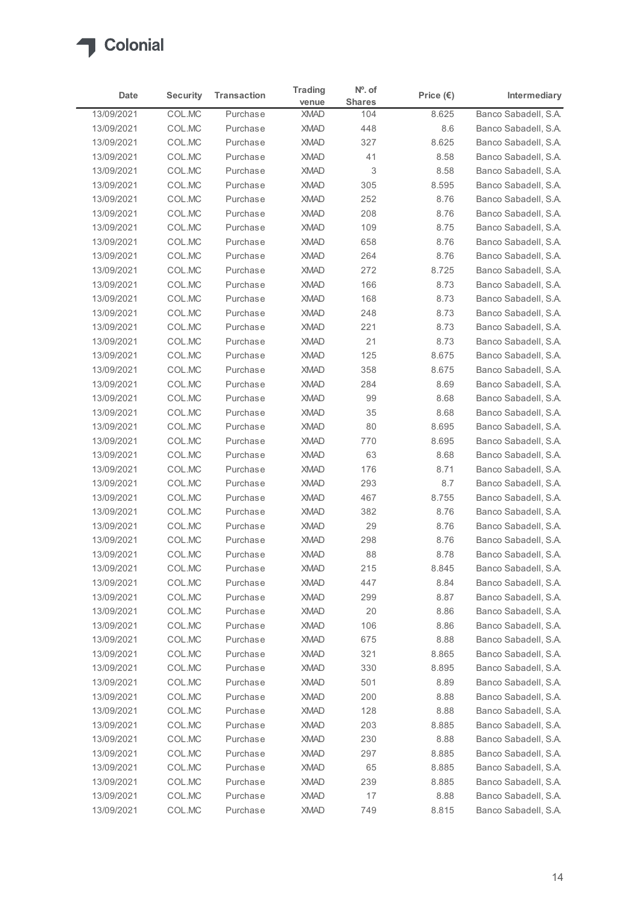

| Date                     | <b>Security</b>  | <b>Transaction</b>   | <b>Trading</b><br>venue | $No$ . of<br><b>Shares</b> | Price $(\epsilon)$ | Intermediary                                 |
|--------------------------|------------------|----------------------|-------------------------|----------------------------|--------------------|----------------------------------------------|
| 13/09/2021               | COL.MC           | Purchase             | <b>XMAD</b>             | 104                        | 8.625              | Banco Sabadell, S.A.                         |
| 13/09/2021               | COL.MC           | Purchase             | <b>XMAD</b>             | 448                        | $8.6\,$            | Banco Sabadell, S.A.                         |
| 13/09/2021               | COL.MC           | Purchase             | <b>XMAD</b>             | 327                        | 8.625              | Banco Sabadell, S.A.                         |
| 13/09/2021               | COL.MC           | Purchase             | <b>XMAD</b>             | 41                         | 8.58               | Banco Sabadell, S.A.                         |
| 13/09/2021               | COL.MC           | Purchase             | <b>XMAD</b>             | 3                          | 8.58               | Banco Sabadell, S.A.                         |
| 13/09/2021               | COL.MC           | Purchase             | <b>XMAD</b>             | 305                        | 8.595              | Banco Sabadell, S.A.                         |
| 13/09/2021               | COL.MC           | Purchase             | <b>XMAD</b>             | 252                        | 8.76               | Banco Sabadell, S.A.                         |
| 13/09/2021               | COL.MC           | Purchase             | <b>XMAD</b>             | 208                        | 8.76               | Banco Sabadell, S.A.                         |
| 13/09/2021               | COL.MC           | Purchase             | <b>XMAD</b>             | 109                        | 8.75               | Banco Sabadell, S.A.                         |
| 13/09/2021               | COL.MC           | Purchase             | <b>XMAD</b>             | 658                        | 8.76               | Banco Sabadell, S.A.                         |
| 13/09/2021               | COL.MC           | Purchase             | <b>XMAD</b>             | 264                        | 8.76               | Banco Sabadell, S.A.                         |
| 13/09/2021               | COL.MC           | Purchase             | <b>XMAD</b>             | 272                        | 8.725              | Banco Sabadell, S.A.                         |
| 13/09/2021               | COL.MC           | Purchase             | <b>XMAD</b>             | 166                        | 8.73               | Banco Sabadell, S.A.<br>Banco Sabadell, S.A. |
| 13/09/2021<br>13/09/2021 | COL.MC<br>COL.MC | Purchase<br>Purchase | XMAD<br><b>XMAD</b>     | 168<br>248                 | 8.73<br>8.73       | Banco Sabadell, S.A.                         |
| 13/09/2021               | COL.MC           | Purchase             | <b>XMAD</b>             | 221                        | 8.73               | Banco Sabadell, S.A.                         |
| 13/09/2021               | COL.MC           | Purchase             | <b>XMAD</b>             | 21                         | 8.73               | Banco Sabadell, S.A.                         |
| 13/09/2021               | COL.MC           | Purchase             | <b>XMAD</b>             | 125                        | 8.675              | Banco Sabadell, S.A.                         |
| 13/09/2021               | COL.MC           | Purchase             | <b>XMAD</b>             | 358                        | 8.675              | Banco Sabadell, S.A.                         |
| 13/09/2021               | COL.MC           | Purchase             | <b>XMAD</b>             | 284                        | 8.69               | Banco Sabadell, S.A.                         |
| 13/09/2021               | COL.MC           | Purchase             | <b>XMAD</b>             | 99                         | 8.68               | Banco Sabadell, S.A.                         |
| 13/09/2021               | COL.MC           | Purchase             | <b>XMAD</b>             | 35                         | 8.68               | Banco Sabadell, S.A.                         |
| 13/09/2021               | COL.MC           | Purchase             | <b>XMAD</b>             | 80                         | 8.695              | Banco Sabadell, S.A.                         |
| 13/09/2021               | COL.MC           | Purchase             | <b>XMAD</b>             | 770                        | 8.695              | Banco Sabadell, S.A.                         |
| 13/09/2021               | COL.MC           | Purchase             | <b>XMAD</b>             | 63                         | 8.68               | Banco Sabadell, S.A.                         |
| 13/09/2021               | COL.MC           | Purchase             | <b>XMAD</b>             | 176                        | 8.71               | Banco Sabadell, S.A.                         |
| 13/09/2021               | COL.MC           | Purchase             | <b>XMAD</b>             | 293                        | $8.7\,$            | Banco Sabadell, S.A.                         |
| 13/09/2021               | COL.MC           | Purchase             | <b>XMAD</b>             | 467                        | 8.755              | Banco Sabadell, S.A.                         |
| 13/09/2021               | COL.MC           | Purchase             | <b>XMAD</b>             | 382                        | 8.76               | Banco Sabadell, S.A.                         |
| 13/09/2021               | COL.MC           | Purchase             | <b>XMAD</b>             | 29                         | 8.76               | Banco Sabadell, S.A.                         |
| 13/09/2021               | COL.MC           | Purchase             | <b>XMAD</b>             | 298                        | 8.76               | Banco Sabadell, S.A.                         |
| 13/09/2021               | COL.MC           | Purchase             | <b>XMAD</b>             | 88                         | 8.78               | Banco Sabadell, S.A.                         |
| 13/09/2021               | COL.MC           | Purchase             | <b>XMAD</b>             | 215                        | 8.845              | Banco Sabadell, S.A.                         |
| 13/09/2021               | COL.MC           | Purchase             | <b>XMAD</b>             | 447                        | 8.84               | Banco Sabadell, S.A.                         |
| 13/09/2021               | COL.MC           | Purchase             | <b>XMAD</b>             | 299                        | 8.87               | Banco Sabadell, S.A.                         |
| 13/09/2021               | COL.MC           | Purchase             | <b>XMAD</b>             | 20                         | 8.86               | Banco Sabadell, S.A.                         |
| 13/09/2021               | COL.MC           | Purchase             | <b>XMAD</b>             | 106                        | 8.86               | Banco Sabadell, S.A.                         |
| 13/09/2021               | COL.MC           | Purchase             | <b>XMAD</b>             | 675                        | 8.88               | Banco Sabadell, S.A.                         |
| 13/09/2021               | COL.MC           | Purchase             | <b>XMAD</b>             | 321                        | 8.865              | Banco Sabadell, S.A.                         |
| 13/09/2021               | COL.MC           | Purchase             | <b>XMAD</b>             | 330                        | 8.895              | Banco Sabadell, S.A.                         |
| 13/09/2021               | COL.MC           | Purchase             | <b>XMAD</b>             | 501                        | 8.89               | Banco Sabadell, S.A.                         |
| 13/09/2021               | COL.MC           | Purchase             | <b>XMAD</b>             | 200                        | 8.88               | Banco Sabadell, S.A.                         |
| 13/09/2021               | COL.MC           | Purchase             | <b>XMAD</b>             | 128                        | 8.88               | Banco Sabadell, S.A.                         |
| 13/09/2021               | COL.MC           | Purchase             | <b>XMAD</b>             | 203                        | 8.885              | Banco Sabadell, S.A.                         |
| 13/09/2021               | COL.MC           | Purchase             | <b>XMAD</b>             | 230                        | 8.88               | Banco Sabadell, S.A.                         |
| 13/09/2021               | COL.MC           | Purchase             | <b>XMAD</b>             | 297                        | 8.885              | Banco Sabadell, S.A.                         |
| 13/09/2021               | COL.MC           | Purchase             | <b>XMAD</b>             | 65                         | 8.885              | Banco Sabadell, S.A.                         |
| 13/09/2021               | COL.MC           | Purchase             | XMAD                    | 239                        | 8.885              | Banco Sabadell, S.A.                         |
| 13/09/2021               | COL.MC           | Purchase             | <b>XMAD</b>             | 17                         | 8.88               | Banco Sabadell, S.A.                         |
| 13/09/2021               | COL.MC           | Purchase             | <b>XMAD</b>             | 749                        | 8.815              | Banco Sabadell, S.A.                         |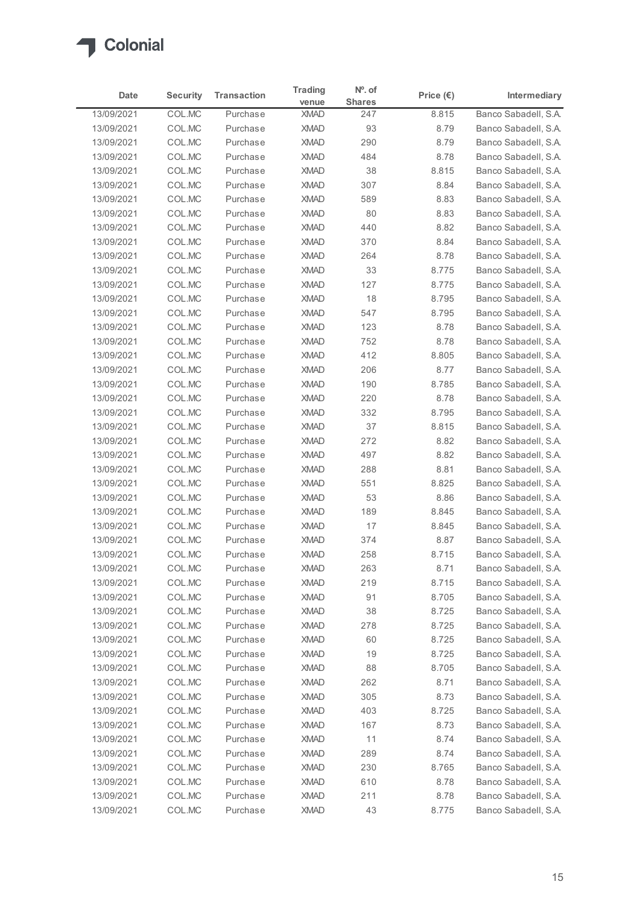

|                          | <b>Security</b><br>Date | <b>Transaction</b>   | <b>Trading</b><br>venue | $No$ . of<br><b>Shares</b> | Price $(\epsilon)$ | Intermediary                                 |
|--------------------------|-------------------------|----------------------|-------------------------|----------------------------|--------------------|----------------------------------------------|
| 13/09/2021               | COL.MC                  | Purchase             | <b>XMAD</b>             | 247                        | 8.815              | Banco Sabadell, S.A.                         |
| 13/09/2021               | COL.MC                  | Purchase             | <b>XMAD</b>             | 93                         | 8.79               | Banco Sabadell, S.A.                         |
| 13/09/2021               | COL.MC                  | Purchase             | <b>XMAD</b>             | 290                        | 8.79               | Banco Sabadell, S.A.                         |
| 13/09/2021               | COL.MC                  | Purchase             | <b>XMAD</b>             | 484                        | 8.78               | Banco Sabadell, S.A.                         |
| 13/09/2021               | COL.MC                  | Purchase             | <b>XMAD</b>             | 38                         | 8.815              | Banco Sabadell, S.A.                         |
| 13/09/2021               | COL.MC                  | Purchase             | <b>XMAD</b>             | 307                        | 8.84               | Banco Sabadell, S.A.                         |
| 13/09/2021               | COL.MC                  | Purchase             | <b>XMAD</b>             | 589                        | 8.83               | Banco Sabadell, S.A.                         |
| 13/09/2021               | COL.MC                  | Purchase             | <b>XMAD</b>             | 80                         | 8.83               | Banco Sabadell, S.A.                         |
| 13/09/2021               | COL.MC                  | Purchase             | <b>XMAD</b>             | 440                        | 8.82               | Banco Sabadell, S.A.                         |
| 13/09/2021               | COL.MC                  | Purchase             | <b>XMAD</b>             | 370                        | 8.84               | Banco Sabadell, S.A.                         |
| 13/09/2021               | COL.MC                  | Purchase             | <b>XMAD</b>             | 264                        | 8.78               | Banco Sabadell, S.A.                         |
| 13/09/2021               | COL.MC                  | Purchase             | <b>XMAD</b>             | 33                         | 8.775              | Banco Sabadell, S.A.                         |
| 13/09/2021               | COL.MC                  | Purchase             | <b>XMAD</b>             | 127                        | 8.775              | Banco Sabadell, S.A.                         |
| 13/09/2021<br>13/09/2021 | COL.MC<br>COL.MC        | Purchase<br>Purchase | XMAD<br>XMAD            | 18<br>547                  | 8.795<br>8.795     | Banco Sabadell, S.A.<br>Banco Sabadell, S.A. |
| 13/09/2021               | COL.MC                  | Purchase             | <b>XMAD</b>             | 123                        | 8.78               | Banco Sabadell, S.A.                         |
| 13/09/2021               | COL.MC                  | Purchase             | <b>XMAD</b>             | 752                        | 8.78               | Banco Sabadell, S.A.                         |
| 13/09/2021               | COL.MC                  | Purchase             | <b>XMAD</b>             | 412                        | 8.805              | Banco Sabadell, S.A.                         |
| 13/09/2021               | COL.MC                  | Purchase             | <b>XMAD</b>             | 206                        | 8.77               | Banco Sabadell, S.A.                         |
| 13/09/2021               | COL.MC                  | Purchase             | <b>XMAD</b>             | 190                        | 8.785              | Banco Sabadell, S.A.                         |
| 13/09/2021               | COL.MC                  | Purchase             | <b>XMAD</b>             | 220                        | 8.78               | Banco Sabadell, S.A.                         |
| 13/09/2021               | COL.MC                  | Purchase             | <b>XMAD</b>             | 332                        | 8.795              | Banco Sabadell, S.A.                         |
| 13/09/2021               | COL.MC                  | Purchase             | <b>XMAD</b>             | 37                         | 8.815              | Banco Sabadell, S.A.                         |
| 13/09/2021               | COL.MC                  | Purchase             | <b>XMAD</b>             | 272                        | 8.82               | Banco Sabadell, S.A.                         |
| 13/09/2021               | COL.MC                  | Purchase             | <b>XMAD</b>             | 497                        | 8.82               | Banco Sabadell, S.A.                         |
| 13/09/2021               | COL.MC                  | Purchase             | <b>XMAD</b>             | 288                        | 8.81               | Banco Sabadell, S.A.                         |
| 13/09/2021               | COL.MC                  | Purchase             | <b>XMAD</b>             | 551                        | 8.825              | Banco Sabadell, S.A.                         |
| 13/09/2021               | COL.MC                  | Purchase             | <b>XMAD</b>             | 53                         | 8.86               | Banco Sabadell, S.A.                         |
| 13/09/2021               | COL.MC                  | Purchase             | <b>XMAD</b>             | 189                        | 8.845              | Banco Sabadell, S.A.                         |
| 13/09/2021               | COL.MC                  | Purchase             | XMAD                    | 17                         | 8.845              | Banco Sabadell, S.A.                         |
| 13/09/2021               | COL.MC                  | Purchase             | <b>XMAD</b>             | 374                        | 8.87               | Banco Sabadell, S.A.                         |
| 13/09/2021               | COL.MC                  | Purchase             | <b>XMAD</b>             | 258                        | 8.715              | Banco Sabadell, S.A.                         |
| 13/09/2021               | COL.MC                  | Purchase             | <b>XMAD</b>             | 263                        | 8.71               | Banco Sabadell, S.A.                         |
| 13/09/2021               | COL.MC                  | Purchase             | <b>XMAD</b>             | 219                        | 8.715              | Banco Sabadell, S.A.                         |
| 13/09/2021               | COL.MC                  | Purchase             | <b>XMAD</b>             | 91                         | 8.705              | Banco Sabadell, S.A.                         |
| 13/09/2021               | COL.MC                  | Purchase             | <b>XMAD</b>             | 38                         | 8.725              | Banco Sabadell, S.A.                         |
| 13/09/2021               | COL.MC                  | Purchase             | <b>XMAD</b>             | 278                        | 8.725              | Banco Sabadell, S.A.                         |
| 13/09/2021               | COL.MC                  | Purchase             | <b>XMAD</b>             | 60                         | 8.725              | Banco Sabadell, S.A.                         |
| 13/09/2021               | COL.MC                  | Purchase             | <b>XMAD</b>             | 19                         | 8.725              | Banco Sabadell, S.A.                         |
| 13/09/2021               | COL.MC                  | Purchase             | XMAD                    | 88                         | 8.705              | Banco Sabadell, S.A.                         |
| 13/09/2021               | COL.MC                  | Purchase             | <b>XMAD</b>             | 262                        | 8.71               | Banco Sabadell, S.A.                         |
| 13/09/2021               | COL.MC                  | Purchase             | <b>XMAD</b>             | 305                        | 8.73               | Banco Sabadell, S.A.                         |
| 13/09/2021               | COL.MC                  | Purchase             | <b>XMAD</b>             | 403                        | 8.725              | Banco Sabadell, S.A.                         |
| 13/09/2021               | COL.MC                  | Purchase             | <b>XMAD</b>             | 167                        | 8.73               | Banco Sabadell, S.A.                         |
| 13/09/2021               | COL.MC                  | Purchase             | <b>XMAD</b>             | 11                         | 8.74               | Banco Sabadell, S.A.                         |
| 13/09/2021               | COL.MC                  | Purchase             | <b>XMAD</b>             | 289                        | 8.74               | Banco Sabadell, S.A.                         |
| 13/09/2021               | COL.MC                  | Purchase             | <b>XMAD</b>             | 230                        | 8.765              | Banco Sabadell, S.A.                         |
| 13/09/2021               | COL.MC                  | Purchase             | XMAD                    | 610                        | 8.78               | Banco Sabadell, S.A.                         |
| 13/09/2021               | COL.MC                  | Purchase             | <b>XMAD</b>             | 211                        | 8.78               | Banco Sabadell, S.A.                         |
| 13/09/2021               | COL.MC                  | Purchase             | <b>XMAD</b>             | 43                         | 8.775              | Banco Sabadell, S.A.                         |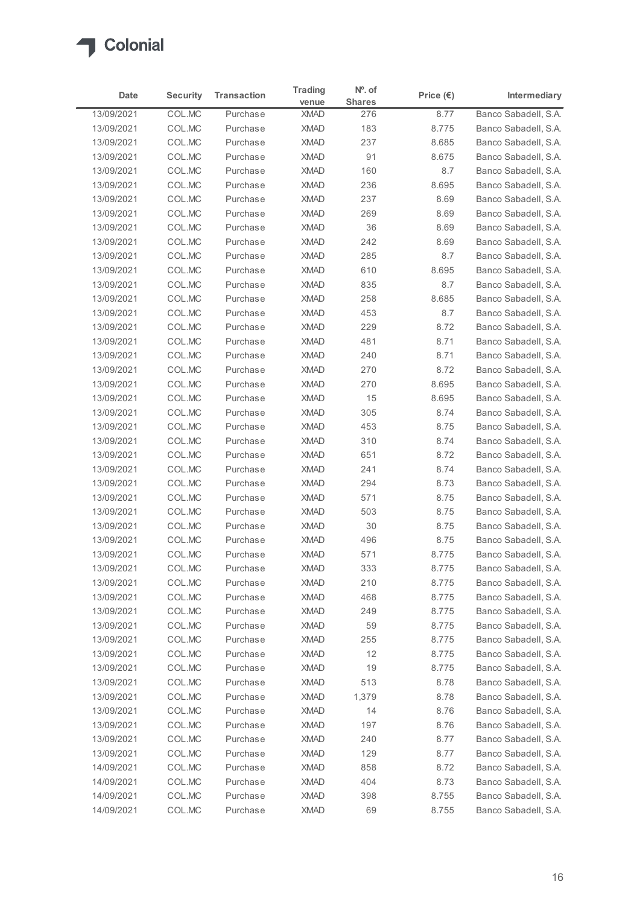

| Date                     | <b>Security</b>  | <b>Transaction</b>   | <b>Trading</b><br>venue | $No$ . of<br><b>Shares</b> | Price $(\epsilon)$ | Intermediary                                 |
|--------------------------|------------------|----------------------|-------------------------|----------------------------|--------------------|----------------------------------------------|
| 13/09/2021               | COL.MC           | Purchase             | <b>XMAD</b>             | 276                        | 8.77               | Banco Sabadell, S.A.                         |
| 13/09/2021               | COL.MC           | Purchase             | <b>XMAD</b>             | 183                        | 8.775              | Banco Sabadell, S.A.                         |
| 13/09/2021               | COL.MC           | Purchase             | <b>XMAD</b>             | 237                        | 8.685              | Banco Sabadell, S.A.                         |
| 13/09/2021               | COL.MC           | Purchase             | <b>XMAD</b>             | 91                         | 8.675              | Banco Sabadell, S.A.                         |
| 13/09/2021               | COL.MC           | Purchase             | <b>XMAD</b>             | 160                        | 8.7                | Banco Sabadell, S.A.                         |
| 13/09/2021               | COL.MC           | Purchase             | <b>XMAD</b>             | 236                        | 8.695              | Banco Sabadell, S.A.                         |
| 13/09/2021               | COL.MC           | Purchase             | <b>XMAD</b>             | 237                        | 8.69               | Banco Sabadell, S.A.                         |
| 13/09/2021               | COL.MC           | Purchase             | <b>XMAD</b>             | 269                        | 8.69               | Banco Sabadell, S.A.                         |
| 13/09/2021               | COL.MC           | Purchase             | <b>XMAD</b>             | 36                         | 8.69               | Banco Sabadell, S.A.                         |
| 13/09/2021               | COL.MC           | Purchase             | <b>XMAD</b>             | 242                        | 8.69               | Banco Sabadell, S.A.                         |
| 13/09/2021               | COL.MC           | Purchase             | <b>XMAD</b>             | 285                        | 8.7                | Banco Sabadell, S.A.                         |
| 13/09/2021               | COL.MC           | Purchase             | <b>XMAD</b>             | 610                        | 8.695              | Banco Sabadell, S.A.                         |
| 13/09/2021               | COL.MC           | Purchase             | <b>XMAD</b>             | 835                        | 8.7                | Banco Sabadell, S.A.<br>Banco Sabadell, S.A. |
| 13/09/2021<br>13/09/2021 | COL.MC<br>COL.MC | Purchase<br>Purchase | XMAD<br><b>XMAD</b>     | 258<br>453                 | 8.685<br>8.7       | Banco Sabadell, S.A.                         |
| 13/09/2021               | COL.MC           | Purchase             | <b>XMAD</b>             | 229                        | 8.72               | Banco Sabadell, S.A.                         |
| 13/09/2021               | COL.MC           | Purchase             | <b>XMAD</b>             | 481                        | 8.71               | Banco Sabadell, S.A.                         |
| 13/09/2021               | COL.MC           | Purchase             | <b>XMAD</b>             | 240                        | 8.71               | Banco Sabadell, S.A.                         |
| 13/09/2021               | COL.MC           | Purchase             | <b>XMAD</b>             | 270                        | 8.72               | Banco Sabadell, S.A.                         |
| 13/09/2021               | COL.MC           | Purchase             | <b>XMAD</b>             | 270                        | 8.695              | Banco Sabadell, S.A.                         |
| 13/09/2021               | COL.MC           | Purchase             | <b>XMAD</b>             | 15                         | 8.695              | Banco Sabadell, S.A.                         |
| 13/09/2021               | COL.MC           | Purchase             | <b>XMAD</b>             | 305                        | 8.74               | Banco Sabadell, S.A.                         |
| 13/09/2021               | COL.MC           | Purchase             | <b>XMAD</b>             | 453                        | 8.75               | Banco Sabadell, S.A.                         |
| 13/09/2021               | COL.MC           | Purchase             | <b>XMAD</b>             | 310                        | 8.74               | Banco Sabadell, S.A.                         |
| 13/09/2021               | COL.MC           | Purchase             | <b>XMAD</b>             | 651                        | 8.72               | Banco Sabadell, S.A.                         |
| 13/09/2021               | COL.MC           | Purchase             | <b>XMAD</b>             | 241                        | 8.74               | Banco Sabadell, S.A.                         |
| 13/09/2021               | COL.MC           | Purchase             | <b>XMAD</b>             | 294                        | 8.73               | Banco Sabadell, S.A.                         |
| 13/09/2021               | COL.MC           | Purchase             | <b>XMAD</b>             | 571                        | 8.75               | Banco Sabadell, S.A.                         |
| 13/09/2021               | COL.MC           | Purchase             | <b>XMAD</b>             | 503                        | 8.75               | Banco Sabadell, S.A.                         |
| 13/09/2021               | COL.MC           | Purchase             | XMAD                    | 30                         | 8.75               | Banco Sabadell, S.A.                         |
| 13/09/2021               | COL.MC           | Purchase             | <b>XMAD</b>             | 496                        | 8.75               | Banco Sabadell, S.A.                         |
| 13/09/2021               | COL.MC           | Purchase             | <b>XMAD</b>             | 571                        | 8.775              | Banco Sabadell, S.A.                         |
| 13/09/2021               | COL.MC           | Purchase             | <b>XMAD</b>             | 333                        | 8.775              | Banco Sabadell, S.A.                         |
| 13/09/2021               | COL.MC           | Purchase             | <b>XMAD</b>             | 210                        | 8.775              | Banco Sabadell, S.A.                         |
| 13/09/2021               | COL.MC           | Purchase             | <b>XMAD</b>             | 468                        | 8.775              | Banco Sabadell, S.A.                         |
| 13/09/2021               | COL.MC           | Purchase             | <b>XMAD</b>             | 249                        | 8.775              | Banco Sabadell, S.A.                         |
| 13/09/2021               | COL.MC           | Purchase             | <b>XMAD</b>             | 59                         | 8.775              | Banco Sabadell, S.A.                         |
| 13/09/2021               | COL.MC           | Purchase             | <b>XMAD</b>             | 255                        | 8.775              | Banco Sabadell, S.A.                         |
| 13/09/2021               | COL.MC           | Purchase             | <b>XMAD</b>             | 12                         | 8.775              | Banco Sabadell, S.A.                         |
| 13/09/2021               | COL.MC           | Purchase             | XMAD                    | 19                         | 8.775              | Banco Sabadell, S.A.                         |
| 13/09/2021               | COL.MC           | Purchase             | <b>XMAD</b>             | 513                        | 8.78               | Banco Sabadell, S.A.                         |
| 13/09/2021               | COL.MC           | Purchase             | <b>XMAD</b>             | 1,379                      | 8.78               | Banco Sabadell, S.A.                         |
| 13/09/2021               | COL.MC           | Purchase             | <b>XMAD</b>             | 14                         | 8.76               | Banco Sabadell, S.A.                         |
| 13/09/2021               | COL.MC           | Purchase             | <b>XMAD</b>             | 197                        | 8.76               | Banco Sabadell, S.A.                         |
| 13/09/2021               | COL.MC           | Purchase             | <b>XMAD</b>             | 240                        | 8.77               | Banco Sabadell, S.A.                         |
| 13/09/2021               | COL.MC           | Purchase             | <b>XMAD</b>             | 129                        | 8.77               | Banco Sabadell, S.A.                         |
| 14/09/2021               | COL.MC           | Purchase             | <b>XMAD</b>             | 858                        | 8.72               | Banco Sabadell, S.A.                         |
| 14/09/2021               | COL.MC           | Purchase             | XMAD                    | 404                        | 8.73               | Banco Sabadell, S.A.                         |
| 14/09/2021               | COL.MC           | Purchase             | <b>XMAD</b>             | 398                        | 8.755              | Banco Sabadell, S.A.                         |
| 14/09/2021               | COL.MC           | Purchase             | <b>XMAD</b>             | 69                         | 8.755              | Banco Sabadell, S.A.                         |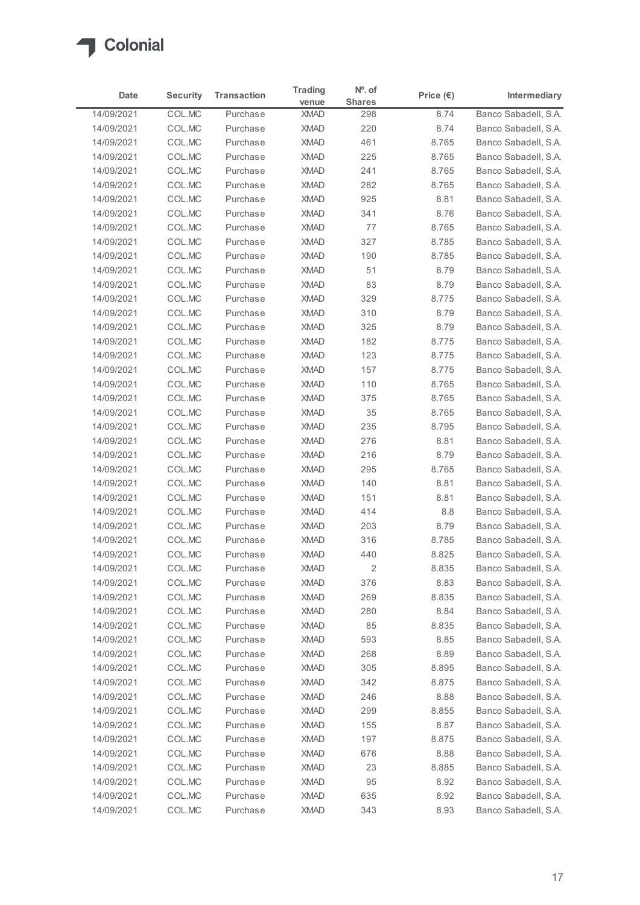

| Date                     | <b>Security</b>  | <b>Transaction</b>   | <b>Trading</b><br>venue | $No$ . of<br><b>Shares</b> | Price $(\epsilon)$ | Intermediary                                 |
|--------------------------|------------------|----------------------|-------------------------|----------------------------|--------------------|----------------------------------------------|
| 14/09/2021               | COL.MC           | Purchase             | <b>XMAD</b>             | 298                        | 8.74               | Banco Sabadell, S.A.                         |
| 14/09/2021               | COL.MC           | Purchase             | <b>XMAD</b>             | 220                        | 8.74               | Banco Sabadell, S.A.                         |
| 14/09/2021               | COL.MC           | Purchase             | <b>XMAD</b>             | 461                        | 8.765              | Banco Sabadell, S.A.                         |
| 14/09/2021               | COL.MC           | Purchase             | <b>XMAD</b>             | 225                        | 8.765              | Banco Sabadell, S.A.                         |
| 14/09/2021               | COL.MC           | Purchase             | <b>XMAD</b>             | 241                        | 8.765              | Banco Sabadell, S.A.                         |
| 14/09/2021               | COL.MC           | Purchase             | <b>XMAD</b>             | 282                        | 8.765              | Banco Sabadell, S.A.                         |
| 14/09/2021               | COL.MC           | Purchase             | <b>XMAD</b>             | 925                        | 8.81               | Banco Sabadell, S.A.                         |
| 14/09/2021               | COL.MC           | Purchase             | <b>XMAD</b>             | 341                        | 8.76               | Banco Sabadell, S.A.                         |
| 14/09/2021               | COL.MC           | Purchase             | <b>XMAD</b>             | 77                         | 8.765              | Banco Sabadell, S.A.                         |
| 14/09/2021               | COL.MC           | Purchase             | <b>XMAD</b>             | 327                        | 8.785              | Banco Sabadell, S.A.                         |
| 14/09/2021               | COL.MC           | Purchase             | <b>XMAD</b>             | 190                        | 8.785              | Banco Sabadell, S.A.                         |
| 14/09/2021               | COL.MC           | Purchase             | <b>XMAD</b>             | 51                         | 8.79               | Banco Sabadell, S.A.                         |
| 14/09/2021               | COL.MC           | Purchase             | <b>XMAD</b>             | 83                         | 8.79               | Banco Sabadell, S.A.                         |
| 14/09/2021<br>14/09/2021 | COL.MC<br>COL.MC | Purchase<br>Purchase | XMAD<br><b>XMAD</b>     | 329<br>310                 | 8.775<br>8.79      | Banco Sabadell, S.A.<br>Banco Sabadell, S.A. |
| 14/09/2021               | COL.MC           | Purchase             | <b>XMAD</b>             | 325                        | 8.79               | Banco Sabadell, S.A.                         |
| 14/09/2021               | COL.MC           | Purchase             | <b>XMAD</b>             | 182                        | 8.775              | Banco Sabadell, S.A.                         |
| 14/09/2021               | COL.MC           | Purchase             | <b>XMAD</b>             | 123                        | 8.775              | Banco Sabadell, S.A.                         |
| 14/09/2021               | COL.MC           | Purchase             | <b>XMAD</b>             | 157                        | 8.775              | Banco Sabadell, S.A.                         |
| 14/09/2021               | COL.MC           | Purchase             | <b>XMAD</b>             | 110                        | 8.765              | Banco Sabadell, S.A.                         |
| 14/09/2021               | COL.MC           | Purchase             | <b>XMAD</b>             | 375                        | 8.765              | Banco Sabadell, S.A.                         |
| 14/09/2021               | COL.MC           | Purchase             | <b>XMAD</b>             | 35                         | 8.765              | Banco Sabadell, S.A.                         |
| 14/09/2021               | COL.MC           | Purchase             | <b>XMAD</b>             | 235                        | 8.795              | Banco Sabadell, S.A.                         |
| 14/09/2021               | COL.MC           | Purchase             | <b>XMAD</b>             | 276                        | 8.81               | Banco Sabadell, S.A.                         |
| 14/09/2021               | COL.MC           | Purchase             | <b>XMAD</b>             | 216                        | 8.79               | Banco Sabadell, S.A.                         |
| 14/09/2021               | COL.MC           | Purchase             | <b>XMAD</b>             | 295                        | 8.765              | Banco Sabadell, S.A.                         |
| 14/09/2021               | COL.MC           | Purchase             | <b>XMAD</b>             | 140                        | 8.81               | Banco Sabadell, S.A.                         |
| 14/09/2021               | COL.MC           | Purchase             | <b>XMAD</b>             | 151                        | 8.81               | Banco Sabadell, S.A.                         |
| 14/09/2021               | COL.MC           | Purchase             | <b>XMAD</b>             | 414                        | 8.8                | Banco Sabadell, S.A.                         |
| 14/09/2021               | COL.MC           | Purchase             | <b>XMAD</b>             | 203                        | 8.79               | Banco Sabadell, S.A.                         |
| 14/09/2021               | COL.MC           | Purchase             | <b>XMAD</b>             | 316                        | 8.785              | Banco Sabadell, S.A.                         |
| 14/09/2021               | COL.MC           | Purchase             | <b>XMAD</b>             | 440                        | 8.825              | Banco Sabadell, S.A.                         |
| 14/09/2021               | COL.MC           | Purchase             | <b>XMAD</b>             | $\overline{c}$             | 8.835              | Banco Sabadell, S.A.                         |
| 14/09/2021               | COL.MC           | Purchase             | <b>XMAD</b>             | 376                        | 8.83               | Banco Sabadell, S.A.                         |
| 14/09/2021               | COL.MC           | Purchase             | <b>XMAD</b>             | 269                        | 8.835              | Banco Sabadell, S.A.                         |
| 14/09/2021               | COL.MC           | Purchase             | <b>XMAD</b>             | 280                        | 8.84               | Banco Sabadell, S.A.                         |
| 14/09/2021               | COL.MC           | Purchase             | <b>XMAD</b>             | 85                         | 8.835              | Banco Sabadell, S.A.                         |
| 14/09/2021               | COL.MC           | Purchase             | <b>XMAD</b>             | 593                        | 8.85               | Banco Sabadell, S.A.                         |
| 14/09/2021               | COL.MC           | Purchase             | <b>XMAD</b>             | 268                        | 8.89               | Banco Sabadell, S.A.                         |
| 14/09/2021               | COL.MC           | Purchase             | <b>XMAD</b>             | 305                        | 8.895              | Banco Sabadell, S.A.                         |
| 14/09/2021               | COL.MC           | Purchase             | <b>XMAD</b>             | 342                        | 8.875              | Banco Sabadell, S.A.                         |
| 14/09/2021               | COL.MC           | Purchase             | <b>XMAD</b>             | 246                        | 8.88               | Banco Sabadell, S.A.                         |
| 14/09/2021               | COL.MC           | Purchase             | <b>XMAD</b>             | 299                        | 8.855              | Banco Sabadell, S.A.                         |
| 14/09/2021               | COL.MC           | Purchase             | <b>XMAD</b>             | 155                        | 8.87               | Banco Sabadell, S.A.                         |
| 14/09/2021               | COL.MC           | Purchase             | <b>XMAD</b>             | 197                        | 8.875              | Banco Sabadell, S.A.                         |
| 14/09/2021               | COL.MC           | Purchase             | <b>XMAD</b>             | 676                        | 8.88               | Banco Sabadell, S.A.                         |
| 14/09/2021               | COL.MC           | Purchase             | <b>XMAD</b>             | 23                         | 8.885              | Banco Sabadell, S.A.                         |
| 14/09/2021               | COL.MC           | Purchase             | XMAD                    | 95                         | 8.92               | Banco Sabadell, S.A.                         |
| 14/09/2021               | COL.MC           | Purchase             | <b>XMAD</b>             | 635                        | 8.92               | Banco Sabadell, S.A.                         |
| 14/09/2021               | COL.MC           | Purchase             | <b>XMAD</b>             | 343                        | 8.93               | Banco Sabadell, S.A.                         |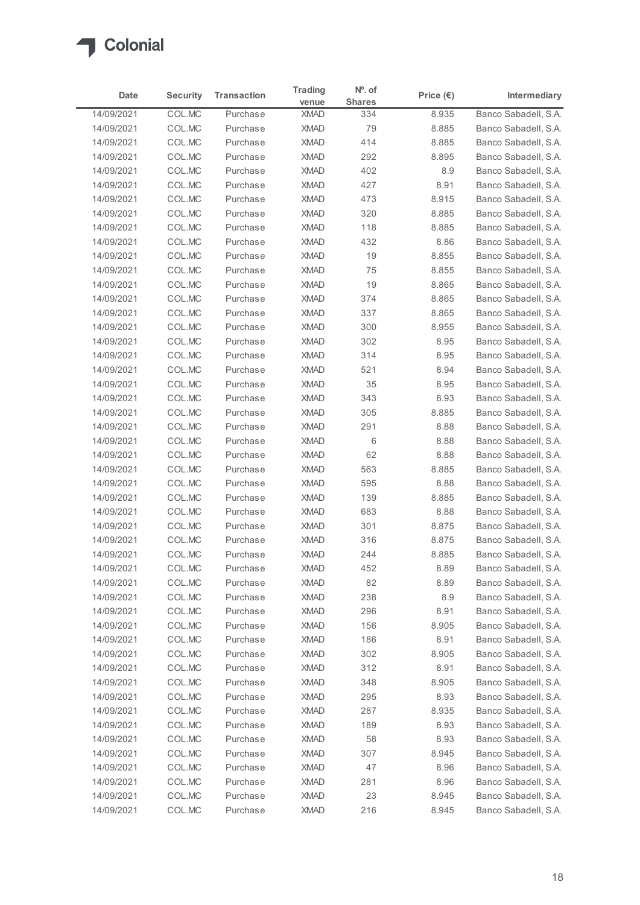

| Date                     | <b>Security</b>  | <b>Transaction</b>   | <b>Trading</b><br>venue    | $No$ . of<br><b>Shares</b> | Price $(\epsilon)$ | Intermediary                                 |
|--------------------------|------------------|----------------------|----------------------------|----------------------------|--------------------|----------------------------------------------|
| 14/09/2021               | COL.MC           | Purchase             | <b>XMAD</b>                | 334                        | 8.935              | Banco Sabadell, S.A.                         |
| 14/09/2021               | COL.MC           | Purchase             | <b>XMAD</b>                | 79                         | 8.885              | Banco Sabadell, S.A.                         |
| 14/09/2021               | COL.MC           | Purchase             | <b>XMAD</b>                | 414                        | 8.885              | Banco Sabadell, S.A.                         |
| 14/09/2021               | COL.MC           | Purchase             | <b>XMAD</b>                | 292                        | 8.895              | Banco Sabadell, S.A.                         |
| 14/09/2021               | COL.MC           | Purchase             | <b>XMAD</b>                | 402                        | 8.9                | Banco Sabadell, S.A.                         |
| 14/09/2021               | COL.MC           | Purchase             | <b>XMAD</b>                | 427                        | 8.91               | Banco Sabadell, S.A.                         |
| 14/09/2021               | COL.MC           | Purchase             | <b>XMAD</b>                | 473                        | 8.915              | Banco Sabadell, S.A.                         |
| 14/09/2021               | COL.MC           | Purchase             | <b>XMAD</b>                | 320                        | 8.885              | Banco Sabadell, S.A.                         |
| 14/09/2021               | COL.MC           | Purchase             | <b>XMAD</b>                | 118                        | 8.885              | Banco Sabadell, S.A.                         |
| 14/09/2021<br>14/09/2021 | COL.MC<br>COL.MC | Purchase<br>Purchase | <b>XMAD</b><br><b>XMAD</b> | 432<br>19                  | 8.86<br>8.855      | Banco Sabadell, S.A.<br>Banco Sabadell, S.A. |
| 14/09/2021               | COL.MC           | Purchase             | <b>XMAD</b>                | 75                         | 8.855              | Banco Sabadell, S.A.                         |
| 14/09/2021               | COL.MC           | Purchase             | <b>XMAD</b>                | 19                         | 8.865              | Banco Sabadell, S.A.                         |
| 14/09/2021               | COL.MC           | Purchase             | XMAD                       | 374                        | 8.865              | Banco Sabadell, S.A.                         |
| 14/09/2021               | COL.MC           | Purchase             | <b>XMAD</b>                | 337                        | 8.865              | Banco Sabadell, S.A.                         |
| 14/09/2021               | COL.MC           | Purchase             | <b>XMAD</b>                | 300                        | 8.955              | Banco Sabadell, S.A.                         |
| 14/09/2021               | COL.MC           | Purchase             | <b>XMAD</b>                | 302                        | 8.95               | Banco Sabadell, S.A.                         |
| 14/09/2021               | COL.MC           | Purchase             | <b>XMAD</b>                | 314                        | 8.95               | Banco Sabadell, S.A.                         |
| 14/09/2021               | COL.MC           | Purchase             | <b>XMAD</b>                | 521                        | 8.94               | Banco Sabadell, S.A.                         |
| 14/09/2021               | COL.MC           | Purchase             | <b>XMAD</b>                | 35                         | 8.95               | Banco Sabadell, S.A.                         |
| 14/09/2021               | COL.MC           | Purchase             | <b>XMAD</b>                | 343                        | 8.93               | Banco Sabadell, S.A.                         |
| 14/09/2021               | COL.MC           | Purchase             | <b>XMAD</b>                | 305                        | 8.885              | Banco Sabadell, S.A.                         |
| 14/09/2021               | COL.MC           | Purchase             | <b>XMAD</b>                | 291                        | 8.88               | Banco Sabadell, S.A.                         |
| 14/09/2021               | COL.MC           | Purchase             | <b>XMAD</b>                | 6                          | 8.88               | Banco Sabadell, S.A.                         |
| 14/09/2021               | COL.MC           | Purchase             | <b>XMAD</b>                | 62                         | 8.88               | Banco Sabadell, S.A.                         |
| 14/09/2021               | COL.MC           | Purchase             | <b>XMAD</b>                | 563                        | 8.885              | Banco Sabadell, S.A.                         |
| 14/09/2021               | COL.MC           | Purchase             | <b>XMAD</b>                | 595                        | 8.88               | Banco Sabadell, S.A.                         |
| 14/09/2021               | COL.MC           | Purchase             | <b>XMAD</b>                | 139                        | 8.885              | Banco Sabadell, S.A.                         |
| 14/09/2021               | COL.MC           | Purchase             | <b>XMAD</b>                | 683                        | 8.88               | Banco Sabadell, S.A.                         |
| 14/09/2021               | COL.MC           | Purchase             | <b>XMAD</b>                | 301                        | 8.875              | Banco Sabadell, S.A.                         |
| 14/09/2021               | COL.MC           | Purchase             | <b>XMAD</b>                | 316                        | 8.875              | Banco Sabadell, S.A.                         |
| 14/09/2021               | COL.MC           | Purchase             | <b>XMAD</b>                | 244                        | 8.885              | Banco Sabadell, S.A.                         |
| 14/09/2021<br>14/09/2021 | COL.MC<br>COL.MC | Purchase<br>Purchase | <b>XMAD</b><br><b>XMAD</b> | 452<br>82                  | 8.89<br>8.89       | Banco Sabadell, S.A.<br>Banco Sabadell, S.A. |
| 14/09/2021               | COL.MC           | Purchase             | <b>XMAD</b>                | 238                        | 8.9                | Banco Sabadell, S.A.                         |
| 14/09/2021               | COL.MC           | Purchase             | <b>XMAD</b>                | 296                        | 8.91               | Banco Sabadell, S.A.                         |
| 14/09/2021               | COL.MC           | Purchase             | <b>XMAD</b>                | 156                        | 8.905              | Banco Sabadell, S.A.                         |
| 14/09/2021               | COL.MC           | Purchase             | <b>XMAD</b>                | 186                        | 8.91               | Banco Sabadell, S.A.                         |
| 14/09/2021               | COL.MC           | Purchase             | <b>XMAD</b>                | 302                        | 8.905              | Banco Sabadell, S.A.                         |
| 14/09/2021               | COL.MC           | Purchase             | <b>XMAD</b>                | 312                        | 8.91               | Banco Sabadell, S.A.                         |
| 14/09/2021               | COL.MC           | Purchase             | <b>XMAD</b>                | 348                        | 8.905              | Banco Sabadell, S.A.                         |
| 14/09/2021               | COL.MC           | Purchase             | <b>XMAD</b>                | 295                        | 8.93               | Banco Sabadell, S.A.                         |
| 14/09/2021               | COL.MC           | Purchase             | <b>XMAD</b>                | 287                        | 8.935              | Banco Sabadell, S.A.                         |
| 14/09/2021               | COL.MC           | Purchase             | <b>XMAD</b>                | 189                        | 8.93               | Banco Sabadell, S.A.                         |
| 14/09/2021               | COL.MC           | Purchase             | <b>XMAD</b>                | 58                         | 8.93               | Banco Sabadell, S.A.                         |
| 14/09/2021               | COL.MC           | Purchase             | <b>XMAD</b>                | 307                        | 8.945              | Banco Sabadell, S.A.                         |
| 14/09/2021               | COL.MC           | Purchase             | <b>XMAD</b>                | 47                         | 8.96               | Banco Sabadell, S.A.                         |
| 14/09/2021               | COL.MC           | Purchase             | XMAD                       | 281                        | 8.96               | Banco Sabadell, S.A.                         |
| 14/09/2021               | COL.MC           | Purchase             | <b>XMAD</b>                | 23                         | 8.945              | Banco Sabadell, S.A.                         |
| 14/09/2021               | COL.MC           | Purchase             | <b>XMAD</b>                | 216                        | 8.945              | Banco Sabadell, S.A.                         |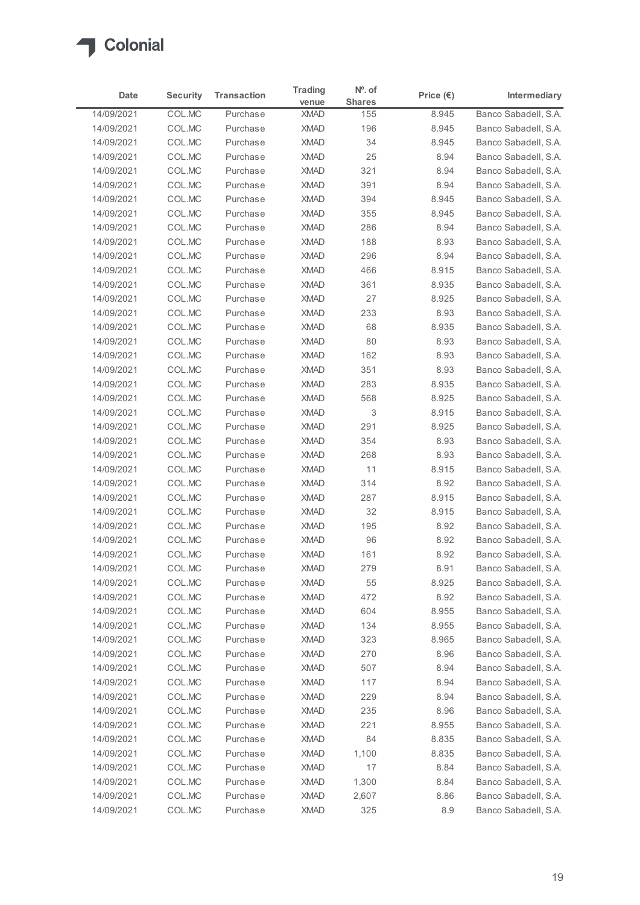

| Date                     | <b>Security</b>  | <b>Transaction</b>   | <b>Trading</b><br>venue    | $No$ . of<br><b>Shares</b> | Price $(\epsilon)$ | Intermediary                                 |
|--------------------------|------------------|----------------------|----------------------------|----------------------------|--------------------|----------------------------------------------|
| 14/09/2021               | COL.MC           | Purchase             | <b>XMAD</b>                | 155                        | 8.945              | Banco Sabadell, S.A.                         |
| 14/09/2021               | COL.MC           | Purchase             | <b>XMAD</b>                | 196                        | 8.945              | Banco Sabadell, S.A.                         |
| 14/09/2021               | COL.MC           | Purchase             | <b>XMAD</b>                | 34                         | 8.945              | Banco Sabadell, S.A.                         |
| 14/09/2021               | COL.MC           | Purchase             | <b>XMAD</b>                | 25                         | 8.94               | Banco Sabadell, S.A.                         |
| 14/09/2021               | COL.MC           | Purchase             | <b>XMAD</b>                | 321                        | 8.94               | Banco Sabadell, S.A.                         |
| 14/09/2021               | COL.MC           | Purchase             | <b>XMAD</b>                | 391                        | 8.94               | Banco Sabadell, S.A.                         |
| 14/09/2021<br>14/09/2021 | COL.MC<br>COL.MC | Purchase<br>Purchase | <b>XMAD</b><br><b>XMAD</b> | 394<br>355                 | 8.945<br>8.945     | Banco Sabadell, S.A.<br>Banco Sabadell, S.A. |
| 14/09/2021               | COL.MC           | Purchase             | <b>XMAD</b>                | 286                        | 8.94               | Banco Sabadell, S.A.                         |
| 14/09/2021               | COL.MC           | Purchase             | <b>XMAD</b>                | 188                        | 8.93               | Banco Sabadell, S.A.                         |
| 14/09/2021               | COL.MC           | Purchase             | <b>XMAD</b>                | 296                        | 8.94               | Banco Sabadell, S.A.                         |
| 14/09/2021               | COL.MC           | Purchase             | <b>XMAD</b>                | 466                        | 8.915              | Banco Sabadell, S.A.                         |
| 14/09/2021               | COL.MC           | Purchase             | <b>XMAD</b>                | 361                        | 8.935              | Banco Sabadell, S.A.                         |
| 14/09/2021               | COL.MC           | Purchase             | XMAD                       | 27                         | 8.925              | Banco Sabadell, S.A.                         |
| 14/09/2021               | COL.MC           | Purchase             | <b>XMAD</b>                | 233                        | 8.93               | Banco Sabadell, S.A.                         |
| 14/09/2021               | COL.MC           | Purchase             | <b>XMAD</b>                | 68                         | 8.935              | Banco Sabadell, S.A.                         |
| 14/09/2021               | COL.MC           | Purchase             | <b>XMAD</b>                | 80                         | 8.93               | Banco Sabadell, S.A.                         |
| 14/09/2021               | COL.MC           | Purchase             | <b>XMAD</b>                | 162                        | 8.93               | Banco Sabadell, S.A.                         |
| 14/09/2021<br>14/09/2021 | COL.MC<br>COL.MC | Purchase<br>Purchase | <b>XMAD</b><br><b>XMAD</b> | 351<br>283                 | 8.93<br>8.935      | Banco Sabadell, S.A.<br>Banco Sabadell, S.A. |
| 14/09/2021               | COL.MC           | Purchase             | <b>XMAD</b>                | 568                        | 8.925              | Banco Sabadell, S.A.                         |
| 14/09/2021               | COL.MC           | Purchase             | <b>XMAD</b>                | 3                          | 8.915              | Banco Sabadell, S.A.                         |
| 14/09/2021               | COL.MC           | Purchase             | <b>XMAD</b>                | 291                        | 8.925              | Banco Sabadell, S.A.                         |
| 14/09/2021               | COL.MC           | Purchase             | <b>XMAD</b>                | 354                        | 8.93               | Banco Sabadell, S.A.                         |
| 14/09/2021               | COL.MC           | Purchase             | <b>XMAD</b>                | 268                        | 8.93               | Banco Sabadell, S.A.                         |
| 14/09/2021               | COL.MC           | Purchase             | <b>XMAD</b>                | 11                         | 8.915              | Banco Sabadell, S.A.                         |
| 14/09/2021               | COL.MC           | Purchase             | <b>XMAD</b>                | 314                        | 8.92               | Banco Sabadell, S.A.                         |
| 14/09/2021               | COL.MC           | Purchase             | <b>XMAD</b>                | 287                        | 8.915              | Banco Sabadell, S.A.                         |
| 14/09/2021               | COL.MC           | Purchase             | <b>XMAD</b>                | 32                         | 8.915              | Banco Sabadell, S.A.                         |
| 14/09/2021               | COL.MC           | Purchase             | <b>XMAD</b>                | 195                        | 8.92               | Banco Sabadell, S.A.                         |
| 14/09/2021               | COL.MC           | Purchase             | <b>XMAD</b>                | 96                         | 8.92               | Banco Sabadell, S.A.                         |
| 14/09/2021               | COL.MC           | Purchase             | <b>XMAD</b>                | 161                        | 8.92               | Banco Sabadell, S.A.                         |
| 14/09/2021               | COL.MC           | Purchase             | <b>XMAD</b>                | 279                        | 8.91               | Banco Sabadell, S.A.                         |
| 14/09/2021<br>14/09/2021 | COL.MC<br>COL.MC | Purchase<br>Purchase | <b>XMAD</b><br><b>XMAD</b> | 55<br>472                  | 8.925<br>8.92      | Banco Sabadell, S.A.<br>Banco Sabadell, S.A. |
| 14/09/2021               | COL.MC           | Purchase             | <b>XMAD</b>                | 604                        | 8.955              | Banco Sabadell, S.A.                         |
| 14/09/2021               | COL.MC           | Purchase             | <b>XMAD</b>                | 134                        | 8.955              | Banco Sabadell, S.A.                         |
| 14/09/2021               | COL.MC           | Purchase             | <b>XMAD</b>                | 323                        | 8.965              | Banco Sabadell, S.A.                         |
| 14/09/2021               | COL.MC           | Purchase             | <b>XMAD</b>                | 270                        | 8.96               | Banco Sabadell, S.A.                         |
| 14/09/2021               | COL.MC           | Purchase             | <b>XMAD</b>                | 507                        | 8.94               | Banco Sabadell, S.A.                         |
| 14/09/2021               | COL.MC           | Purchase             | <b>XMAD</b>                | 117                        | 8.94               | Banco Sabadell, S.A.                         |
| 14/09/2021               | COL.MC           | Purchase             | <b>XMAD</b>                | 229                        | 8.94               | Banco Sabadell, S.A.                         |
| 14/09/2021               | COL.MC           | Purchase             | <b>XMAD</b>                | 235                        | 8.96               | Banco Sabadell, S.A.                         |
| 14/09/2021               | COL.MC           | Purchase             | <b>XMAD</b>                | 221                        | 8.955              | Banco Sabadell, S.A.                         |
| 14/09/2021               | COL.MC           | Purchase             | <b>XMAD</b>                | 84                         | 8.835              | Banco Sabadell, S.A.                         |
| 14/09/2021               | COL.MC           | Purchase             | <b>XMAD</b>                | 1,100                      | 8.835              | Banco Sabadell, S.A.                         |
| 14/09/2021               | COL.MC           | Purchase             | <b>XMAD</b>                | 17                         | 8.84               | Banco Sabadell, S.A.                         |
| 14/09/2021               | COL.MC           | Purchase             | XMAD                       | 1,300                      | 8.84               | Banco Sabadell, S.A.                         |
| 14/09/2021               | COL.MC           | Purchase             | <b>XMAD</b>                | 2,607                      | 8.86               | Banco Sabadell, S.A.                         |
| 14/09/2021               | COL.MC           | Purchase             | <b>XMAD</b>                | 325                        | 8.9                | Banco Sabadell, S.A.                         |